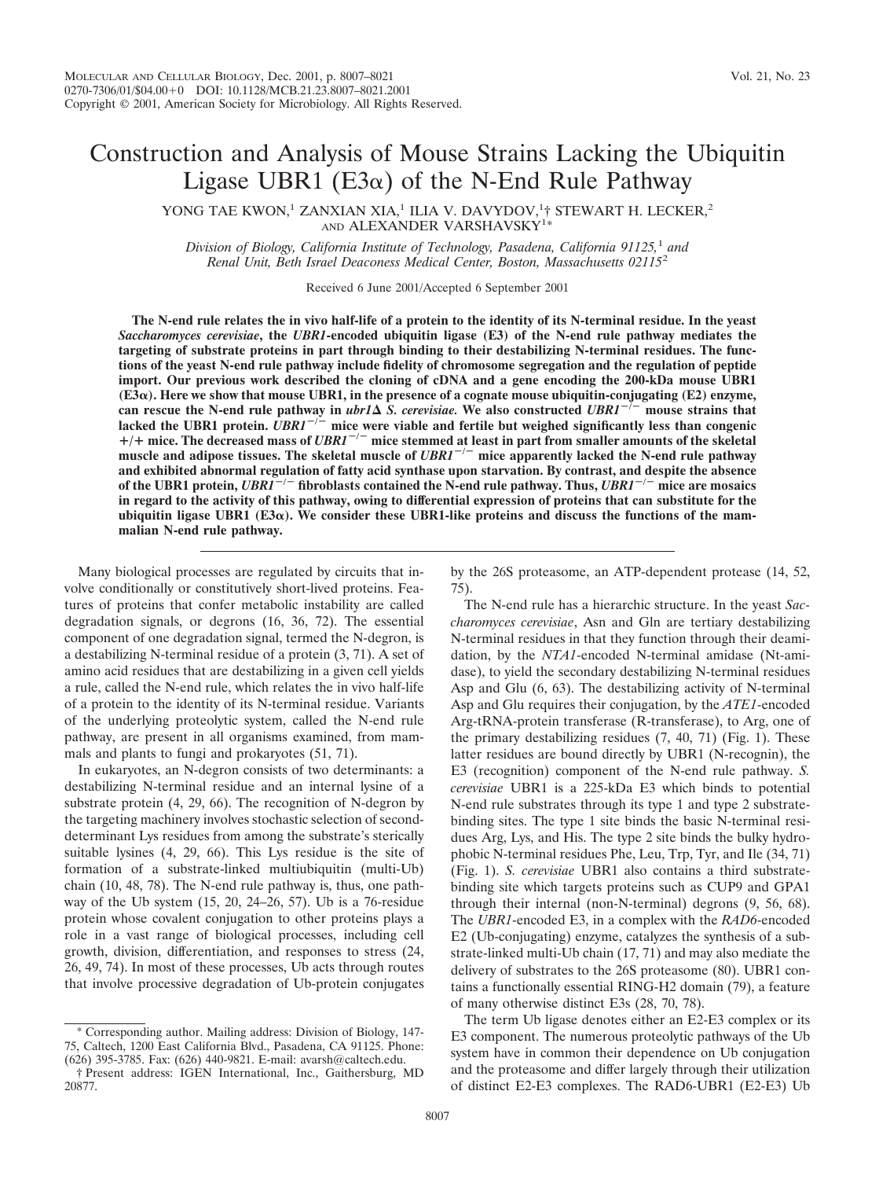# Construction and Analysis of Mouse Strains Lacking the Ubiquitin Ligase UBR1 ( $E3\alpha$ ) of the N-End Rule Pathway

YONG TAE KWON,<sup>1</sup> ZANXIAN XIA,<sup>1</sup> ILIA V. DAVYDOV,<sup>1</sup>† STEWART H. LECKER,<sup>2</sup> AND ALEXANDER VARSHAVSKY<sup>1\*</sup>

*Division of Biology, California Institute of Technology, Pasadena, California 91125,*<sup>1</sup> *and Renal Unit, Beth Israel Deaconess Medical Center, Boston, Massachusetts 02115*<sup>2</sup>

Received 6 June 2001/Accepted 6 September 2001

**The N-end rule relates the in vivo half-life of a protein to the identity of its N-terminal residue. In the yeast** *Saccharomyces cerevisiae***, the** *UBR1***-encoded ubiquitin ligase (E3) of the N-end rule pathway mediates the targeting of substrate proteins in part through binding to their destabilizing N-terminal residues. The functions of the yeast N-end rule pathway include fidelity of chromosome segregation and the regulation of peptide import. Our previous work described the cloning of cDNA and a gene encoding the 200-kDa mouse UBR1 (E3). Here we show that mouse UBR1, in the presence of a cognate mouse ubiquitin-conjugating (E2) enzyme,** can rescue the N-end rule pathway in  $ubr1\Delta$  S. cerevisiae. We also constructed  $UBRI^{-/-}$  mouse strains that lacked the UBR1 protein.  $\overline{UBRI}^{-/-}$  mice were viable and fertile but weighed significantly less than congenic **/ mice. The decreased mass of** *UBR1***/ mice stemmed at least in part from smaller amounts of the skeletal muscle and adipose tissues. The skeletal muscle of** *UBR1***/ mice apparently lacked the N-end rule pathway and exhibited abnormal regulation of fatty acid synthase upon starvation. By contrast, and despite the absence of the UBR1 protein,** *UBR1***/ fibroblasts contained the N-end rule pathway. Thus,** *UBR1***/ mice are mosaics in regard to the activity of this pathway, owing to differential expression of proteins that can substitute for the ubiquitin ligase UBR1 (E3). We consider these UBR1-like proteins and discuss the functions of the mammalian N-end rule pathway.**

Many biological processes are regulated by circuits that involve conditionally or constitutively short-lived proteins. Features of proteins that confer metabolic instability are called degradation signals, or degrons (16, 36, 72). The essential component of one degradation signal, termed the N-degron, is a destabilizing N-terminal residue of a protein (3, 71). A set of amino acid residues that are destabilizing in a given cell yields a rule, called the N-end rule, which relates the in vivo half-life of a protein to the identity of its N-terminal residue. Variants of the underlying proteolytic system, called the N-end rule pathway, are present in all organisms examined, from mammals and plants to fungi and prokaryotes (51, 71).

In eukaryotes, an N-degron consists of two determinants: a destabilizing N-terminal residue and an internal lysine of a substrate protein (4, 29, 66). The recognition of N-degron by the targeting machinery involves stochastic selection of seconddeterminant Lys residues from among the substrate's sterically suitable lysines (4, 29, 66). This Lys residue is the site of formation of a substrate-linked multiubiquitin (multi-Ub) chain (10, 48, 78). The N-end rule pathway is, thus, one pathway of the Ub system (15, 20, 24–26, 57). Ub is a 76-residue protein whose covalent conjugation to other proteins plays a role in a vast range of biological processes, including cell growth, division, differentiation, and responses to stress (24, 26, 49, 74). In most of these processes, Ub acts through routes that involve processive degradation of Ub-protein conjugates

Corresponding author. Mailing address: Division of Biology, 147-75, Caltech, 1200 East California Blvd., Pasadena, CA 91125. Phone: (626) 395-3785. Fax: (626) 440-9821. E-mail: avarsh@caltech.edu.

† Present address: IGEN International, Inc., Gaithersburg, MD 20877.

by the 26S proteasome, an ATP-dependent protease (14, 52, 75).

The N-end rule has a hierarchic structure. In the yeast *Saccharomyces cerevisiae*, Asn and Gln are tertiary destabilizing N-terminal residues in that they function through their deamidation, by the *NTA1*-encoded N-terminal amidase (Nt-amidase), to yield the secondary destabilizing N-terminal residues Asp and Glu (6, 63). The destabilizing activity of N-terminal Asp and Glu requires their conjugation, by the *ATE1*-encoded Arg-tRNA-protein transferase (R-transferase), to Arg, one of the primary destabilizing residues (7, 40, 71) (Fig. 1). These latter residues are bound directly by UBR1 (N-recognin), the E3 (recognition) component of the N-end rule pathway. *S. cerevisiae* UBR1 is a 225-kDa E3 which binds to potential N-end rule substrates through its type 1 and type 2 substratebinding sites. The type 1 site binds the basic N-terminal residues Arg, Lys, and His. The type 2 site binds the bulky hydrophobic N-terminal residues Phe, Leu, Trp, Tyr, and Ile (34, 71) (Fig. 1). *S. cerevisiae* UBR1 also contains a third substratebinding site which targets proteins such as CUP9 and GPA1 through their internal (non-N-terminal) degrons (9, 56, 68). The *UBR1*-encoded E3, in a complex with the *RAD6*-encoded E2 (Ub-conjugating) enzyme, catalyzes the synthesis of a substrate-linked multi-Ub chain (17, 71) and may also mediate the delivery of substrates to the 26S proteasome (80). UBR1 contains a functionally essential RING-H2 domain (79), a feature of many otherwise distinct E3s (28, 70, 78).

The term Ub ligase denotes either an E2-E3 complex or its E3 component. The numerous proteolytic pathways of the Ub system have in common their dependence on Ub conjugation and the proteasome and differ largely through their utilization of distinct E2-E3 complexes. The RAD6-UBR1 (E2-E3) Ub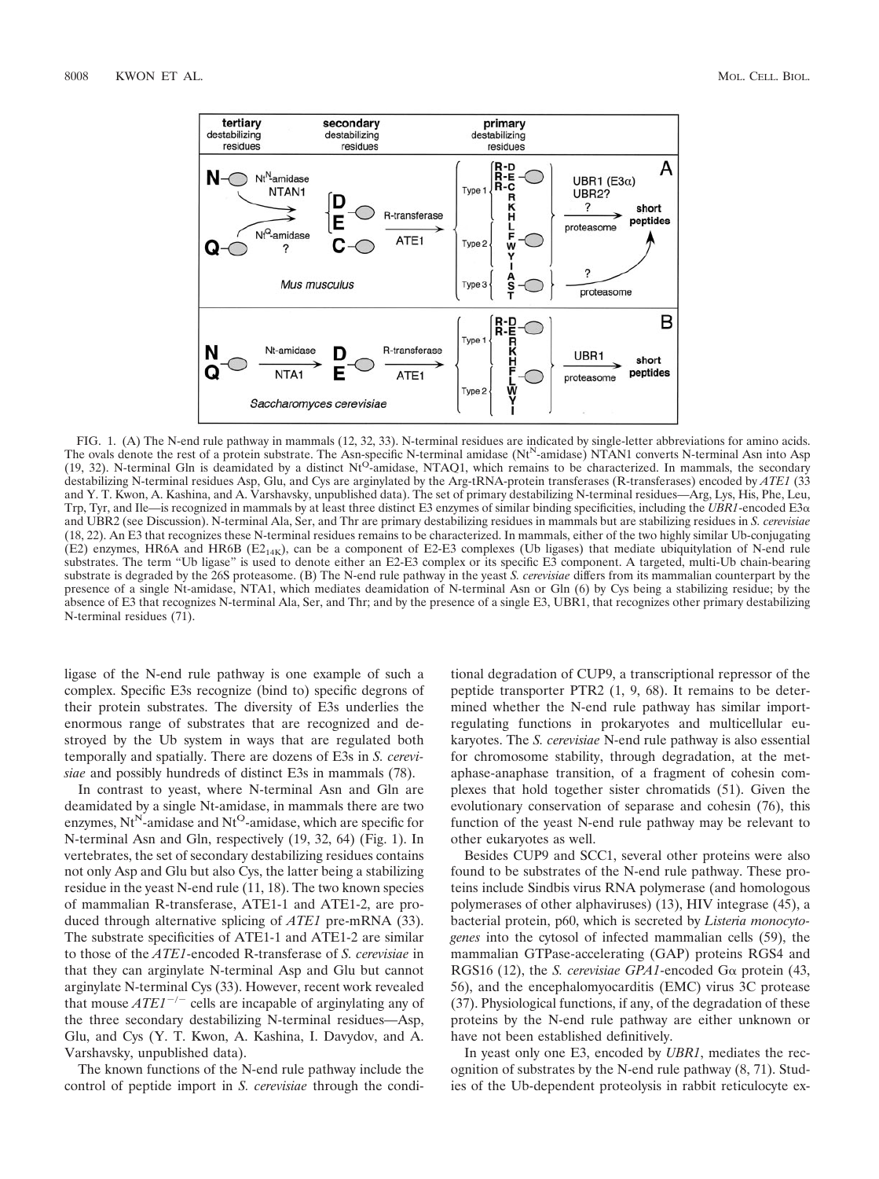

FIG. 1. (A) The N-end rule pathway in mammals (12, 32, 33). N-terminal residues are indicated by single-letter abbreviations for amino acids. The ovals denote the rest of a protein substrate. The Asn-specific N-terminal amidase (Nt<sup>N</sup>-amidase) NTAN1 converts N-terminal Asn into Asp  $(19, 32)$ . N-terminal Gln is deamidated by a distinct Nt<sup>Q</sup>-amidase, NTAQ1, which remains to be characterized. In mammals, the secondary destabilizing N-terminal residues Asp, Glu, and Cys are arginylated by the Arg-tRNA-protein transferases (R-transferases) encoded by *ATE1* (33 and Y. T. Kwon, A. Kashina, and A. Varshavsky, unpublished data). The set of primary destabilizing N-terminal residues—Arg, Lys, His, Phe, Leu, Trp, Tyr, and Ile—is recognized in mammals by at least three distinct E3 enzymes of similar binding specificities, including the *UBR1*-encoded E3 $\alpha$ and UBR2 (see Discussion). N-terminal Ala, Ser, and Thr are primary destabilizing residues in mammals but are stabilizing residues in *S. cerevisiae* (18, 22). An E3 that recognizes these N-terminal residues remains to be characterized. In mammals, either of the two highly similar Ub-conjugating (E2) enzymes, HR6A and HR6B (E214K), can be a component of E2-E3 complexes (Ub ligases) that mediate ubiquitylation of N-end rule substrates. The term "Ub ligase" is used to denote either an E2-E3 complex or its specific E3 component. A targeted, multi-Ub chain-bearing substrate is degraded by the 26S proteasome. (B) The N-end rule pathway in the yeast *S. cerevisiae* differs from its mammalian counterpart by the presence of a single Nt-amidase, NTA1, which mediates deamidation of N-terminal Asn or Gln (6) by Cys being a stabilizing residue; by the absence of E3 that recognizes N-terminal Ala, Ser, and Thr; and by the presence of a single E3, UBR1, that recognizes other primary destabilizing N-terminal residues (71).

ligase of the N-end rule pathway is one example of such a complex. Specific E3s recognize (bind to) specific degrons of their protein substrates. The diversity of E3s underlies the enormous range of substrates that are recognized and destroyed by the Ub system in ways that are regulated both temporally and spatially. There are dozens of E3s in *S. cerevisiae* and possibly hundreds of distinct E3s in mammals (78).

In contrast to yeast, where N-terminal Asn and Gln are deamidated by a single Nt-amidase, in mammals there are two enzymes,  $Nt<sup>N</sup>$ -amidase and  $Nt<sup>Q</sup>$ -amidase, which are specific for N-terminal Asn and Gln, respectively (19, 32, 64) (Fig. 1). In vertebrates, the set of secondary destabilizing residues contains not only Asp and Glu but also Cys, the latter being a stabilizing residue in the yeast N-end rule (11, 18). The two known species of mammalian R-transferase, ATE1-1 and ATE1-2, are produced through alternative splicing of *ATE1* pre-mRNA (33). The substrate specificities of ATE1-1 and ATE1-2 are similar to those of the *ATE1*-encoded R-transferase of *S. cerevisiae* in that they can arginylate N-terminal Asp and Glu but cannot arginylate N-terminal Cys (33). However, recent work revealed that mouse  $ATEI^{-/-}$  cells are incapable of arginylating any of the three secondary destabilizing N-terminal residues—Asp, Glu, and Cys (Y. T. Kwon, A. Kashina, I. Davydov, and A. Varshavsky, unpublished data).

The known functions of the N-end rule pathway include the control of peptide import in *S. cerevisiae* through the conditional degradation of CUP9, a transcriptional repressor of the peptide transporter PTR2 (1, 9, 68). It remains to be determined whether the N-end rule pathway has similar importregulating functions in prokaryotes and multicellular eukaryotes. The *S. cerevisiae* N-end rule pathway is also essential for chromosome stability, through degradation, at the metaphase-anaphase transition, of a fragment of cohesin complexes that hold together sister chromatids (51). Given the evolutionary conservation of separase and cohesin (76), this function of the yeast N-end rule pathway may be relevant to other eukaryotes as well.

Besides CUP9 and SCC1, several other proteins were also found to be substrates of the N-end rule pathway. These proteins include Sindbis virus RNA polymerase (and homologous polymerases of other alphaviruses) (13), HIV integrase (45), a bacterial protein, p60, which is secreted by *Listeria monocytogenes* into the cytosol of infected mammalian cells (59), the mammalian GTPase-accelerating (GAP) proteins RGS4 and RGS16 (12), the *S. cerevisiae GPA1*-encoded G $\alpha$  protein (43, 56), and the encephalomyocarditis (EMC) virus 3C protease (37). Physiological functions, if any, of the degradation of these proteins by the N-end rule pathway are either unknown or have not been established definitively.

In yeast only one E3, encoded by *UBR1*, mediates the recognition of substrates by the N-end rule pathway (8, 71). Studies of the Ub-dependent proteolysis in rabbit reticulocyte ex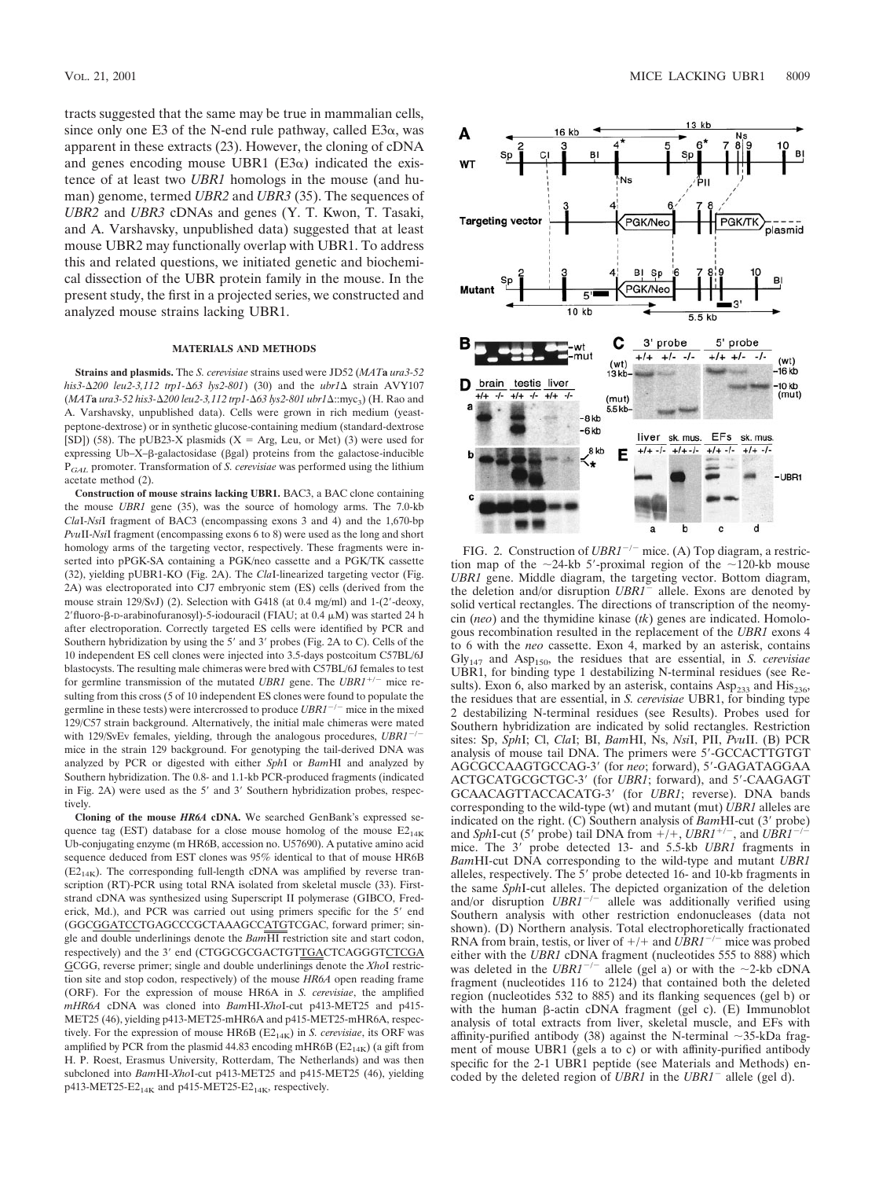tracts suggested that the same may be true in mammalian cells, since only one E3 of the N-end rule pathway, called  $E3\alpha$ , was apparent in these extracts (23). However, the cloning of cDNA and genes encoding mouse UBR1  $(E3\alpha)$  indicated the existence of at least two *UBR1* homologs in the mouse (and human) genome, termed *UBR2* and *UBR3* (35). The sequences of *UBR2* and *UBR3* cDNAs and genes (Y. T. Kwon, T. Tasaki, and A. Varshavsky, unpublished data) suggested that at least mouse UBR2 may functionally overlap with UBR1. To address this and related questions, we initiated genetic and biochemical dissection of the UBR protein family in the mouse. In the present study, the first in a projected series, we constructed and analyzed mouse strains lacking UBR1.

#### **MATERIALS AND METHODS**

**Strains and plasmids.** The *S. cerevisiae* strains used were JD52 (*MAT***a** *ura3-52 his3-200 leu2-3,112 trp1-63 lys2-801*) (30) and the *ubr1* strain AVY107 (*MAT***a** *ura3-52 his3-200 leu2-3,112 trp1-63 lys2-801 ubr1*::myc3) (H. Rao and A. Varshavsky, unpublished data). Cells were grown in rich medium (yeastpeptone-dextrose) or in synthetic glucose-containing medium (standard-dextrose [SD]) (58). The pUB23-X plasmids ( $X = \text{Arg}$ , Leu, or Met) (3) were used for expressing Ub-X- $\beta$ -galactosidase ( $\beta$ gal) proteins from the galactose-inducible P*GAL* promoter. Transformation of *S. cerevisiae* was performed using the lithium acetate method (2).

**Construction of mouse strains lacking UBR1.** BAC3, a BAC clone containing the mouse *UBR1* gene (35), was the source of homology arms. The 7.0-kb *Cla*I-*Nsi*I fragment of BAC3 (encompassing exons 3 and 4) and the 1,670-bp *Pvu*II-*Nsi*I fragment (encompassing exons 6 to 8) were used as the long and short homology arms of the targeting vector, respectively. These fragments were inserted into pPGK-SA containing a PGK/neo cassette and a PGK/TK cassette (32), yielding pUBR1-KO (Fig. 2A). The *Cla*I-linearized targeting vector (Fig. 2A) was electroporated into CJ7 embryonic stem (ES) cells (derived from the mouse strain 129/SvJ) (2). Selection with G418 (at 0.4 mg/ml) and 1-(2-deoxy,  $2'$ fluoro- $\beta$ -D-arabinofuranosyl)-5-iodouracil (FIAU; at 0.4  $\mu$ M) was started 24 h after electroporation. Correctly targeted ES cells were identified by PCR and Southern hybridization by using the  $5'$  and  $3'$  probes (Fig. 2A to C). Cells of the 10 independent ES cell clones were injected into 3.5-days postcoitum C57BL/6J blastocysts. The resulting male chimeras were bred with C57BL/6J females to test for germline transmission of the mutated *UBR1* gene. The *UBR1*<sup>+/-</sup> mice resulting from this cross (5 of 10 independent ES clones were found to populate the germline in these tests) were intercrossed to produce  $UBRI^{-/-}$  mice in the mixed 129/C57 strain background. Alternatively, the initial male chimeras were mated with 129/SvEv females, yielding, through the analogous procedures, *UBR1<sup>-/</sup>* mice in the strain 129 background. For genotyping the tail-derived DNA was analyzed by PCR or digested with either *Sph*I or *Bam*HI and analyzed by Southern hybridization. The 0.8- and 1.1-kb PCR-produced fragments (indicated in Fig. 2A) were used as the  $5'$  and  $3'$  Southern hybridization probes, respectively.

**Cloning of the mouse** *HR6A* **cDNA.** We searched GenBank's expressed sequence tag (EST) database for a close mouse homolog of the mouse  $E2_{14K}$ Ub-conjugating enzyme (m HR6B, accession no. U57690). A putative amino acid sequence deduced from EST clones was 95% identical to that of mouse HR6B  $(E2<sub>14K</sub>)$ . The corresponding full-length cDNA was amplified by reverse transcription (RT)-PCR using total RNA isolated from skeletal muscle (33). Firststrand cDNA was synthesized using Superscript II polymerase (GIBCO, Frederick, Md.), and PCR was carried out using primers specific for the 5' end (GGCGGATCCTGAGCCCGCTAAAGCCATGTCGAC, forward primer; single and double underlinings denote the *Bam*HI restriction site and start codon, respectively) and the 3' end (CTGGCGCGACTGTTGACTCAGGGTCTCGA GCGG, reverse primer; single and double underlinings denote the *Xho*I restriction site and stop codon, respectively) of the mouse *HR6A* open reading frame (ORF). For the expression of mouse HR6A in *S. cerevisiae*, the amplified *mHR6A* cDNA was cloned into *Bam*HI-*Xho*I-cut p413-MET25 and p415- MET25 (46), yielding p413-MET25-mHR6A and p415-MET25-mHR6A, respectively. For the expression of mouse HR6B ( $E2<sub>14K</sub>$ ) in *S. cerevisiae*, its ORF was amplified by PCR from the plasmid 44.83 encoding mHR6B ( $E2<sub>14K</sub>$ ) (a gift from H. P. Roest, Erasmus University, Rotterdam, The Netherlands) and was then subcloned into *Bam*HI-*Xho*I-cut p413-MET25 and p415-MET25 (46), yielding p413-MET25-E2<sub>14K</sub> and p415-MET25-E2<sub>14K</sub>, respectively.



FIG. 2. Construction of  $UBRI^{-/-}$  mice. (A) Top diagram, a restriction map of the  $\sim$ 24-kb 5'-proximal region of the  $\sim$ 120-kb mouse *UBR1* gene. Middle diagram, the targeting vector. Bottom diagram, the deletion and/or disruption *UBR1*<sup>-</sup> allele. Exons are denoted by solid vertical rectangles. The directions of transcription of the neomycin (*neo*) and the thymidine kinase (*tk*) genes are indicated. Homologous recombination resulted in the replacement of the *UBR1* exons 4 to 6 with the *neo* cassette. Exon 4, marked by an asterisk, contains  $Gly_{147}$  and  $Asp_{150}$ , the residues that are essential, in *S. cerevisiae* UBR1, for binding type 1 destabilizing N-terminal residues (see Results). Exon 6, also marked by an asterisk, contains  $Asp_{233}$  and  $His_{236}$ , the residues that are essential, in *S. cerevisiae* UBR1, for binding type 2 destabilizing N-terminal residues (see Results). Probes used for Southern hybridization are indicated by solid rectangles. Restriction sites: Sp, *Sph*I; Cl, *Cla*I; BI, *Bam*HI, Ns, *Nsi*I, PII, *Pvu*II. (B) PCR analysis of mouse tail DNA. The primers were 5'-GCCACTTGTGT AGCGCCAAGTGCCAG-3 (for *neo*; forward), 5-GAGATAGGAA ACTGCATGCGCTGC-3' (for *UBR1*; forward), and 5'-CAAGAGT GCAACAGTTACCACATG-3' (for *UBR1*; reverse). DNA bands corresponding to the wild-type (wt) and mutant (mut) *UBR1* alleles are indicated on the right. (C) Southern analysis of *BamHI*-cut (3' probe) and *SphI*-cut (5' probe) tail DNA from  $+/+$ , *UBR1<sup>+/-</sup>*, and *UBR1*<sup>-</sup> mice. The 3' probe detected 13- and 5.5-kb *UBR1* fragments in *Bam*HI-cut DNA corresponding to the wild-type and mutant *UBR1* alleles, respectively. The 5' probe detected 16- and 10-kb fragments in the same *SphI*-cut alleles. The depicted organization of the deletion and/or disruption *UBR1<sup>-/-</sup>* allele was additionally verified using Southern analysis with other restriction endonucleases (data not shown). (D) Northern analysis. Total electrophoretically fractionated RNA from brain, testis, or liver of  $+/+$  and *UBR1<sup>-/-</sup>* mice was probed either with the *UBR1* cDNA fragment (nucleotides 555 to 888) which was deleted in the *UBR1<sup>-/-</sup>* allele (gel a) or with the  $\sim$ 2-kb cDNA fragment (nucleotides 116 to 2124) that contained both the deleted region (nucleotides 532 to 885) and its flanking sequences (gel b) or with the human  $\beta$ -actin cDNA fragment (gel c). (E) Immunoblot analysis of total extracts from liver, skeletal muscle, and EFs with affinity-purified antibody (38) against the N-terminal  $\sim$ 35-kDa fragment of mouse UBR1 (gels a to c) or with affinity-purified antibody specific for the 2-1 UBR1 peptide (see Materials and Methods) encoded by the deleted region of *UBR1* in the *UBR1* allele (gel d).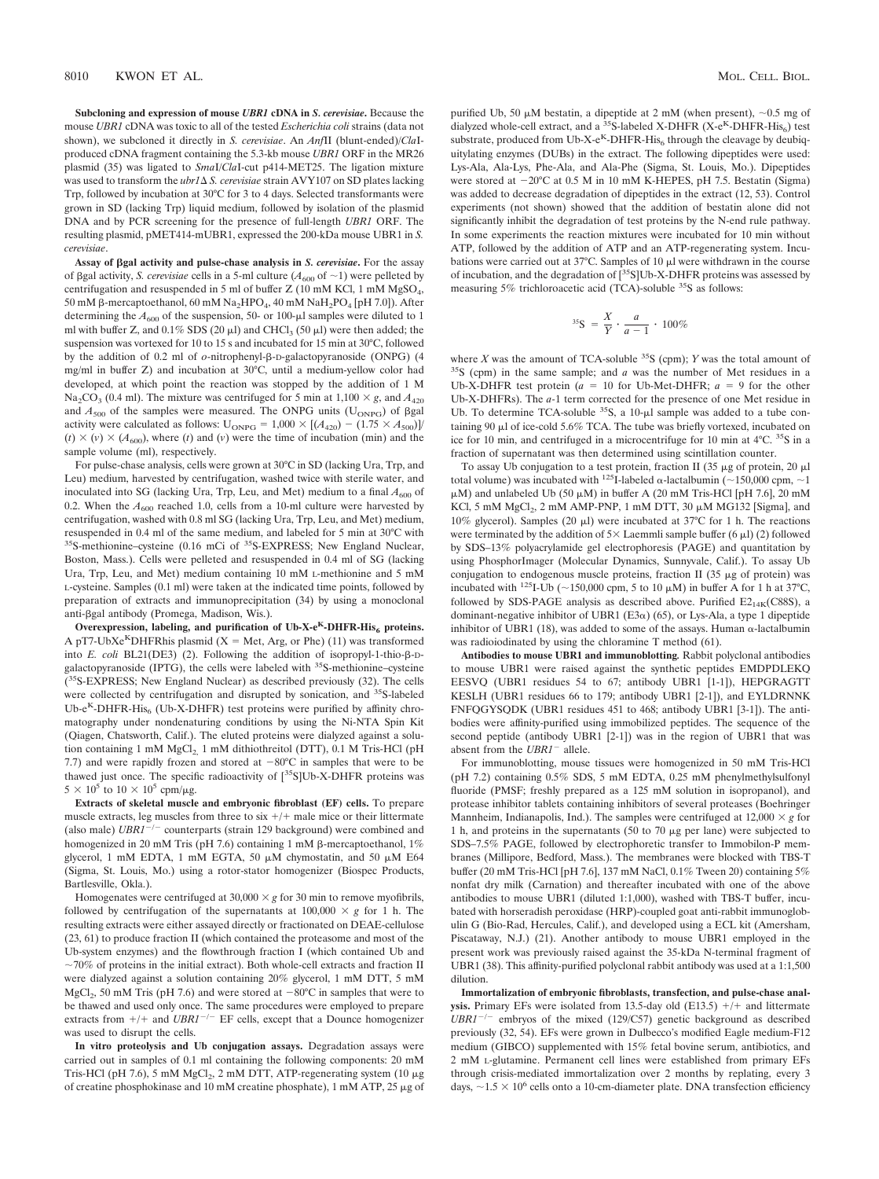**Subcloning and expression of mouse** *UBR1* **cDNA in** *S. cerevisiae***.** Because the mouse *UBR1* cDNA was toxic to all of the tested *Escherichia coli* strains (data not shown), we subcloned it directly in *S. cerevisiae*. An *Anf*II (blunt-ended)/*Cla*Iproduced cDNA fragment containing the 5.3-kb mouse *UBR1* ORF in the MR26 plasmid (35) was ligated to *Sma*I/*Cla*I-cut p414-MET25. The ligation mixture was used to transform the *ubr1 S. cerevisiae* strain AVY107 on SD plates lacking Trp, followed by incubation at 30°C for 3 to 4 days. Selected transformants were grown in SD (lacking Trp) liquid medium, followed by isolation of the plasmid DNA and by PCR screening for the presence of full-length *UBR1* ORF. The resulting plasmid, pMET414-mUBR1, expressed the 200-kDa mouse UBR1 in *S. cerevisiae*.

**Assay of gal activity and pulse-chase analysis in** *S. cerevisiae***.** For the assay of  $\beta$ gal activity, *S. cerevisiae* cells in a 5-ml culture ( $A_{600}$  of  $\sim$ 1) were pelleted by centrifugation and resuspended in 5 ml of buffer Z (10 mM KCl, 1 mM MgSO<sub>4</sub>, 50 mM β-mercaptoethanol, 60 mM Na<sub>2</sub>HPO<sub>4</sub>, 40 mM NaH<sub>2</sub>PO<sub>4</sub> [pH 7.0]). After determining the  $A_{600}$  of the suspension, 50- or 100- $\mu$ l samples were diluted to 1 ml with buffer Z, and  $0.1\%$  SDS (20  $\mu$ l) and CHCl<sub>3</sub> (50  $\mu$ l) were then added; the suspension was vortexed for 10 to 15 s and incubated for 15 min at 30°C, followed by the addition of 0.2 ml of *o*-nitrophenyl-β-D-galactopyranoside (ONPG) (4 mg/ml in buffer Z) and incubation at 30°C, until a medium-yellow color had developed, at which point the reaction was stopped by the addition of 1 M  $Na_2CO_3$  (0.4 ml). The mixture was centrifuged for 5 min at  $1,100 \times g$ , and  $A_{420}$ and  $A_{500}$  of the samples were measured. The ONPG units (U<sub>ONPG</sub>) of  $\beta$ gal activity were calculated as follows:  $U_{ONPG} = 1,000 \times [(A_{420}) - (1.75 \times A_{500})]$ /  $(t) \times (v) \times (A_{600})$ , where (*t*) and (*v*) were the time of incubation (min) and the sample volume (ml), respectively.

For pulse-chase analysis, cells were grown at 30°C in SD (lacking Ura, Trp, and Leu) medium, harvested by centrifugation, washed twice with sterile water, and inoculated into SG (lacking Ura, Trp, Leu, and Met) medium to a final  $A_{600}$  of 0.2. When the  $A_{600}$  reached 1.0, cells from a 10-ml culture were harvested by centrifugation, washed with 0.8 ml SG (lacking Ura, Trp, Leu, and Met) medium, resuspended in 0.4 ml of the same medium, and labeled for 5 min at 30°C with 35S-methionine–cysteine (0.16 mCi of 35S-EXPRESS; New England Nuclear, Boston, Mass.). Cells were pelleted and resuspended in 0.4 ml of SG (lacking Ura, Trp, Leu, and Met) medium containing 10 mM L-methionine and 5 mM L-cysteine. Samples (0.1 ml) were taken at the indicated time points, followed by preparation of extracts and immunoprecipitation (34) by using a monoclonal anti-gal antibody (Promega, Madison, Wis.).

Overexpression, labeling, and purification of Ub-X-e<sup>K</sup>-DHFR-His<sub>6</sub> proteins. A pT7-UbXe<sup>K</sup>DHFRhis plasmid (X = Met, Arg, or Phe) (11) was transformed into  $E.$  *coli* BL21(DE3) (2). Following the addition of isopropyl-1-thio- $\beta$ -Dgalactopyranoside (IPTG), the cells were labeled with 35S-methionine–cysteine  $(^{35}S-EXPRESS$ ; New England Nuclear) as described previously (32). The cells were collected by centrifugation and disrupted by sonication, and <sup>35</sup>S-labeled Ub-e<sup>K</sup>-DHFR-His<sub>6</sub> (Ub-X-DHFR) test proteins were purified by affinity chromatography under nondenaturing conditions by using the Ni-NTA Spin Kit (Qiagen, Chatsworth, Calif.). The eluted proteins were dialyzed against a solution containing 1 mM  $MgCl<sub>2</sub>$  1 mM dithiothreitol (DTT), 0.1 M Tris-HCl (pH 7.7) and were rapidly frozen and stored at  $-80^{\circ}$ C in samples that were to be thawed just once. The specific radioactivity of  $[^{35}S]$ Ub-X-DHFR proteins was  $5 \times 10^5$  to  $10 \times 10^5$  cpm/µg.

**Extracts of skeletal muscle and embryonic fibroblast (EF) cells.** To prepare muscle extracts, leg muscles from three to six  $+/+$  male mice or their littermate (also male) *UBR1<sup>-/-</sup>* counterparts (strain 129 background) were combined and homogenized in 20 mM Tris (pH 7.6) containing 1 mM  $\beta$ -mercaptoethanol, 1% glycerol, 1 mM EDTA, 1 mM EGTA, 50  $\mu$ M chymostatin, and 50  $\mu$ M E64 (Sigma, St. Louis, Mo.) using a rotor-stator homogenizer (Biospec Products, Bartlesville, Okla.).

Homogenates were centrifuged at  $30,000 \times g$  for 30 min to remove myofibrils, followed by centrifugation of the supernatants at  $100,000 \times g$  for 1 h. The resulting extracts were either assayed directly or fractionated on DEAE-cellulose (23, 61) to produce fraction II (which contained the proteasome and most of the Ub-system enzymes) and the flowthrough fraction I (which contained Ub and  $~\sim$ 70% of proteins in the initial extract). Both whole-cell extracts and fraction II were dialyzed against a solution containing 20% glycerol, 1 mM DTT, 5 mM MgCl<sub>2</sub>, 50 mM Tris (pH 7.6) and were stored at  $-80^{\circ}$ C in samples that were to be thawed and used only once. The same procedures were employed to prepare extracts from  $+/+$  and *UBR1<sup>-/-</sup>* EF cells, except that a Dounce homogenizer was used to disrupt the cells.

**In vitro proteolysis and Ub conjugation assays.** Degradation assays were carried out in samples of 0.1 ml containing the following components: 20 mM Tris-HCl (pH 7.6), 5 mM MgCl<sub>2</sub>, 2 mM DTT, ATP-regenerating system (10  $\mu$ g) of creatine phosphokinase and 10 mM creatine phosphate), 1 mM ATP, 25  $\mu$ g of purified Ub, 50  $\mu$ M bestatin, a dipeptide at 2 mM (when present),  $\sim$ 0.5 mg of dialyzed whole-cell extract, and a <sup>35</sup>S-labeled X-DHFR (X-e<sup>K</sup>-DHFR-His<sub>6</sub>) test substrate, produced from Ub-X-e<sup>K</sup>-DHFR-His<sub>6</sub> through the cleavage by deubiquitylating enzymes (DUBs) in the extract. The following dipeptides were used: Lys-Ala, Ala-Lys, Phe-Ala, and Ala-Phe (Sigma, St. Louis, Mo.). Dipeptides were stored at  $-20^{\circ}$ C at 0.5 M in 10 mM K-HEPES, pH 7.5. Bestatin (Sigma) was added to decrease degradation of dipeptides in the extract (12, 53). Control experiments (not shown) showed that the addition of bestatin alone did not significantly inhibit the degradation of test proteins by the N-end rule pathway. In some experiments the reaction mixtures were incubated for 10 min without ATP, followed by the addition of ATP and an ATP-regenerating system. Incubations were carried out at  $37^{\circ}$ C. Samples of 10  $\mu$ l were withdrawn in the course of incubation, and the degradation of  $\int_0^{35} S |Ub-X-DHFR$  proteins was assessed by measuring 5% trichloroacetic acid (TCA)-soluble <sup>35</sup>S as follows:

$$
^{35}\mathrm{S} = \frac{X}{Y} \cdot \frac{a}{a-1} \cdot 100\%
$$

where  $X$  was the amount of TCA-soluble  $35S$  (cpm);  $Y$  was the total amount of 35S (cpm) in the same sample; and *a* was the number of Met residues in a Ub-X-DHFR test protein ( $a = 10$  for Ub-Met-DHFR;  $a = 9$  for the other Ub-X-DHFRs). The *a-*1 term corrected for the presence of one Met residue in Ub. To determine TCA-soluble  $35S$ , a 10- $\mu$ l sample was added to a tube containing 90 µl of ice-cold 5.6% TCA. The tube was briefly vortexed, incubated on ice for 10 min, and centrifuged in a microcentrifuge for 10 min at 4°C. 35S in a fraction of supernatant was then determined using scintillation counter.

To assay Ub conjugation to a test protein, fraction II (35  $\mu$ g of protein, 20  $\mu$ l total volume) was incubated with <sup>125</sup>I-labeled  $\alpha$ -lactalbumin (~150,000 cpm, ~1  $\mu$ M) and unlabeled Ub (50  $\mu$ M) in buffer A (20 mM Tris-HCl [pH 7.6], 20 mM KCl, 5 mM  $MgCl<sub>2</sub>$ , 2 mM AMP-PNP, 1 mM DTT, 30  $\mu$ M MG132 [Sigma], and 10% glycerol). Samples (20  $\mu$ l) were incubated at 37°C for 1 h. The reactions were terminated by the addition of  $5\times$  Laemmli sample buffer (6  $\mu$ l) (2) followed by SDS–13% polyacrylamide gel electrophoresis (PAGE) and quantitation by using PhosphorImager (Molecular Dynamics, Sunnyvale, Calif.). To assay Ub conjugation to endogenous muscle proteins, fraction II (35  $\mu$ g of protein) was incubated with <sup>125</sup>I-Ub ( $\sim$ 150,000 cpm, 5 to 10  $\mu$ M) in buffer A for 1 h at 37°C, followed by SDS-PAGE analysis as described above. Purified  $E2_{14K}(C88S)$ , a dominant-negative inhibitor of UBR1 (E3 $\alpha$ ) (65), or Lys-Ala, a type 1 dipeptide inhibitor of UBR1 (18), was added to some of the assays. Human  $\alpha$ -lactalbumin was radioiodinated by using the chloramine T method (61).

**Antibodies to mouse UBR1 and immunoblotting***.* Rabbit polyclonal antibodies to mouse UBR1 were raised against the synthetic peptides EMDPDLEKQ EESVQ (UBR1 residues 54 to 67; antibody UBR1 [1-1]), HEPGRAGTT KESLH (UBR1 residues 66 to 179; antibody UBR1 [2-1]), and EYLDRNNK FNFQGYSQDK (UBR1 residues 451 to 468; antibody UBR1 [3-1]). The antibodies were affinity-purified using immobilized peptides. The sequence of the second peptide (antibody UBR1 [2-1]) was in the region of UBR1 that was absent from the *UBR1*<sup>-</sup> allele.

For immunoblotting, mouse tissues were homogenized in 50 mM Tris-HCl (pH 7.2) containing 0.5% SDS, 5 mM EDTA, 0.25 mM phenylmethylsulfonyl fluoride (PMSF; freshly prepared as a 125 mM solution in isopropanol), and protease inhibitor tablets containing inhibitors of several proteases (Boehringer Mannheim, Indianapolis, Ind.). The samples were centrifuged at  $12,000 \times g$  for 1 h, and proteins in the supernatants (50 to 70  $\mu$ g per lane) were subjected to SDS–7.5% PAGE, followed by electrophoretic transfer to Immobilon-P membranes (Millipore, Bedford, Mass.). The membranes were blocked with TBS-T buffer (20 mM Tris-HCl [pH 7.6], 137 mM NaCl, 0.1% Tween 20) containing 5% nonfat dry milk (Carnation) and thereafter incubated with one of the above antibodies to mouse UBR1 (diluted 1:1,000), washed with TBS-T buffer, incubated with horseradish peroxidase (HRP)-coupled goat anti-rabbit immunoglobulin G (Bio-Rad, Hercules, Calif.), and developed using a ECL kit (Amersham, Piscataway, N.J.) (21). Another antibody to mouse UBR1 employed in the present work was previously raised against the 35-kDa N-terminal fragment of UBR1 (38). This affinity-purified polyclonal rabbit antibody was used at a 1:1,500 dilution.

**Immortalization of embryonic fibroblasts, transfection, and pulse-chase analysis.** Primary EFs were isolated from 13.5-day old  $(E13.5)$  +/+ and littermate  $UBRI^{-/-}$  embryos of the mixed (129/C57) genetic background as described previously (32, 54). EFs were grown in Dulbecco's modified Eagle medium-F12 medium (GIBCO) supplemented with 15% fetal bovine serum, antibiotics, and 2 mM L-glutamine. Permanent cell lines were established from primary EFs through crisis-mediated immortalization over 2 months by replating, every 3 days,  $\sim$ 1.5  $\times$  10<sup>6</sup> cells onto a 10-cm-diameter plate. DNA transfection efficiency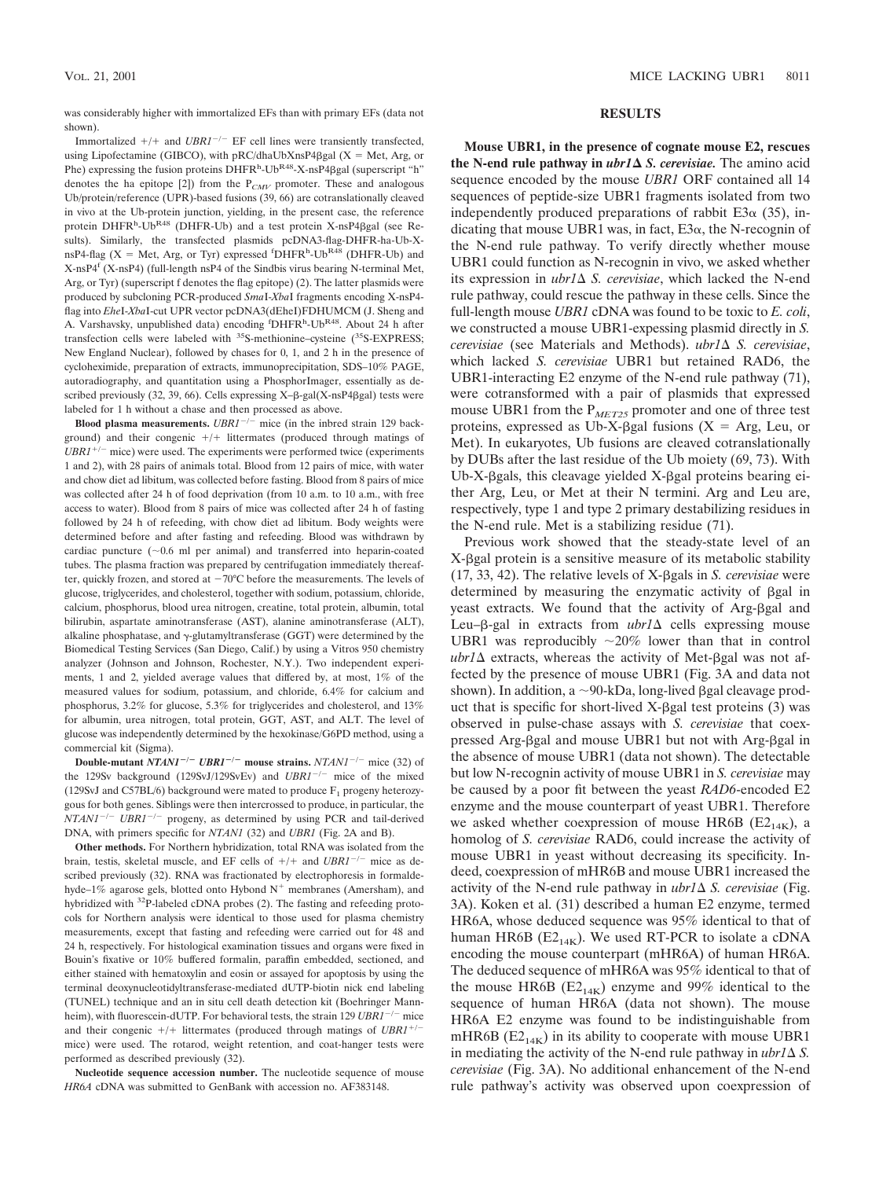was considerably higher with immortalized EFs than with primary EFs (data not shown).

Immortalized  $+/+$  and *UBR1<sup>-/-</sup>* EF cell lines were transiently transfected, using Lipofectamine (GIBCO), with pRC/dhaUbXnsP4 $\beta$ gal (X = Met, Arg, or Phe) expressing the fusion proteins DHFR<sup>h</sup>-Ub<sup>R48</sup>-X-nsP4ßgal (superscript "h" denotes the ha epitope  $[2]$ ) from the  $P_{CMV}$  promoter. These and analogous Ub/protein/reference (UPR)-based fusions (39, 66) are cotranslationally cleaved in vivo at the Ub-protein junction, yielding, in the present case, the reference protein DHFR<sup>h</sup>-Ub<sup>R48</sup> (DHFR-Ub) and a test protein X-nsP4ßgal (see Results). Similarly, the transfected plasmids pcDNA3-flag-DHFR-ha-Ub-XnsP4-flag ( $X = Met$ , Arg, or Tyr) expressed <sup>f</sup>DHFR<sup>h</sup>-Ub<sup>R48</sup> (DHFR-Ub) and X-nsP4<sup>f</sup> (X-nsP4) (full-length nsP4 of the Sindbis virus bearing N-terminal Met, Arg, or Tyr) (superscript f denotes the flag epitope) (2). The latter plasmids were produced by subcloning PCR-produced *Sma*I-*Xba*I fragments encoding X-nsP4 flag into *Ehe*I-*Xba*I-cut UPR vector pcDNA3(dEheI)FDHUMCM (J. Sheng and A. Varshavsky, unpublished data) encoding <sup>f</sup>DHFR<sup>h</sup>-Ub<sup>R48</sup>. About 24 h after transfection cells were labeled with  $35S$ -methionine–cysteine ( $35S$ -EXPRESS; New England Nuclear), followed by chases for 0, 1, and 2 h in the presence of cycloheximide, preparation of extracts, immunoprecipitation, SDS–10% PAGE, autoradiography, and quantitation using a PhosphorImager, essentially as described previously  $(32, 39, 66)$ . Cells expressing X- $\beta$ -gal $(X$ -nsP4 $\beta$ gal) tests were labeled for 1 h without a chase and then processed as above.

**Blood plasma measurements.**  $UBRI^{-/-}$  mice (in the inbred strain 129 background) and their congenic  $+/+$  littermates (produced through matings of  $UBRI^{+/-}$  mice) were used. The experiments were performed twice (experiments 1 and 2), with 28 pairs of animals total. Blood from 12 pairs of mice, with water and chow diet ad libitum, was collected before fasting. Blood from 8 pairs of mice was collected after 24 h of food deprivation (from 10 a.m. to 10 a.m., with free access to water). Blood from 8 pairs of mice was collected after 24 h of fasting followed by 24 h of refeeding, with chow diet ad libitum. Body weights were determined before and after fasting and refeeding. Blood was withdrawn by cardiac puncture  $(\sim 0.6$  ml per animal) and transferred into heparin-coated tubes. The plasma fraction was prepared by centrifugation immediately thereafter, quickly frozen, and stored at  $-70^{\circ}$ C before the measurements. The levels of glucose, triglycerides, and cholesterol, together with sodium, potassium, chloride, calcium, phosphorus, blood urea nitrogen, creatine, total protein, albumin, total bilirubin, aspartate aminotransferase (AST), alanine aminotransferase (ALT), alkaline phosphatase, and  $\gamma$ -glutamyltransferase (GGT) were determined by the Biomedical Testing Services (San Diego, Calif.) by using a Vitros 950 chemistry analyzer (Johnson and Johnson, Rochester, N.Y.). Two independent experiments, 1 and 2, yielded average values that differed by, at most, 1% of the measured values for sodium, potassium, and chloride, 6.4% for calcium and phosphorus, 3.2% for glucose, 5.3% for triglycerides and cholesterol, and 13% for albumin, urea nitrogen, total protein, GGT, AST, and ALT. The level of glucose was independently determined by the hexokinase/G6PD method, using a commercial kit (Sigma).

**Double-mutant**  $NTANI^{-/-}$  *UBR1<sup>-/-***</sup> mouse strains.**  $NTANI^{-/-}$  **mice (32) of** the 129Sv background (129SvJ/129SvEv) and *UBR1<sup>-/-</sup>* mice of the mixed (129SvJ and C57BL/6) background were mated to produce  $F_1$  progeny heterozygous for both genes. Siblings were then intercrossed to produce, in particular, the  $NTAN1^{-/-}$  *UBR1<sup>-/-</sup>* progeny, as determined by using PCR and tail-derived DNA, with primers specific for *NTAN1* (32) and *UBR1* (Fig. 2A and B).

**Other methods.** For Northern hybridization, total RNA was isolated from the brain, testis, skeletal muscle, and EF cells of  $+/+$  and  $UBRI^{-/-}$  mice as described previously (32). RNA was fractionated by electrophoresis in formaldehyde–1% agarose gels, blotted onto Hybond  $N^+$  membranes (Amersham), and hybridized with 32P-labeled cDNA probes (2). The fasting and refeeding protocols for Northern analysis were identical to those used for plasma chemistry measurements, except that fasting and refeeding were carried out for 48 and 24 h, respectively. For histological examination tissues and organs were fixed in Bouin's fixative or 10% buffered formalin, paraffin embedded, sectioned, and either stained with hematoxylin and eosin or assayed for apoptosis by using the terminal deoxynucleotidyltransferase-mediated dUTP-biotin nick end labeling (TUNEL) technique and an in situ cell death detection kit (Boehringer Mannheim), with fluorescein-dUTP. For behavioral tests, the strain 129 *UBR1<sup>-/-</sup>* mice and their congenic  $+/+$  littermates (produced through matings of  $UBRI^{+/+}$ mice) were used. The rotarod, weight retention, and coat-hanger tests were performed as described previously (32).

**Nucleotide sequence accession number.** The nucleotide sequence of mouse *HR6A* cDNA was submitted to GenBank with accession no. AF383148.

## **RESULTS**

**Mouse UBR1, in the presence of cognate mouse E2, rescues the N-end rule pathway in** *ubr1*- *S. cerevisiae.* The amino acid sequence encoded by the mouse *UBR1* ORF contained all 14 sequences of peptide-size UBR1 fragments isolated from two independently produced preparations of rabbit  $E3\alpha$  (35), indicating that mouse UBR1 was, in fact,  $E3\alpha$ , the N-recognin of the N-end rule pathway. To verify directly whether mouse UBR1 could function as N-recognin in vivo, we asked whether its expression in  $ubr1\Delta S$ . *cerevisiae*, which lacked the N-end rule pathway, could rescue the pathway in these cells. Since the full-length mouse *UBR1* cDNA was found to be toxic to *E. coli*, we constructed a mouse UBR1-expessing plasmid directly in *S. cerevisiae* (see Materials and Methods). *ubr1 S. cerevisiae*, which lacked *S. cerevisiae* UBR1 but retained RAD6, the UBR1-interacting E2 enzyme of the N-end rule pathway (71), were cotransformed with a pair of plasmids that expressed mouse UBR1 from the P<sub>MET25</sub> promoter and one of three test proteins, expressed as Ub-X- $\beta$ gal fusions (X = Arg, Leu, or Met). In eukaryotes, Ub fusions are cleaved cotranslationally by DUBs after the last residue of the Ub moiety (69, 73). With Ub-X- $\beta$ gals, this cleavage yielded X- $\beta$ gal proteins bearing either Arg, Leu, or Met at their N termini. Arg and Leu are, respectively, type 1 and type 2 primary destabilizing residues in the N-end rule. Met is a stabilizing residue (71).

Previous work showed that the steady-state level of an X- $\beta$ gal protein is a sensitive measure of its metabolic stability (17, 33, 42). The relative levels of X-gals in *S. cerevisiae* were determined by measuring the enzymatic activity of gal in yeast extracts. We found that the activity of Arg-gal and Leu– $\beta$ -gal in extracts from  $ubr1\Delta$  cells expressing mouse UBR1 was reproducibly  $\sim 20\%$  lower than that in control  $ubr1\Delta$  extracts, whereas the activity of Met- $\beta$ gal was not affected by the presence of mouse UBR1 (Fig. 3A and data not shown). In addition, a  $\sim$ 90-kDa, long-lived  $\beta$ gal cleavage product that is specific for short-lived  $X$ - $\beta$ gal test proteins  $(3)$  was observed in pulse-chase assays with *S. cerevisiae* that coexpressed Arg- $\beta$ gal and mouse UBR1 but not with Arg- $\beta$ gal in the absence of mouse UBR1 (data not shown). The detectable but low N-recognin activity of mouse UBR1 in *S. cerevisiae* may be caused by a poor fit between the yeast *RAD6*-encoded E2 enzyme and the mouse counterpart of yeast UBR1. Therefore we asked whether coexpression of mouse HR6B ( $E2_{14K}$ ), a homolog of *S. cerevisiae* RAD6, could increase the activity of mouse UBR1 in yeast without decreasing its specificity. Indeed, coexpression of mHR6B and mouse UBR1 increased the activity of the N-end rule pathway in  $ubr1\Delta S$ . cerevisiae (Fig. 3A). Koken et al. (31) described a human E2 enzyme, termed HR6A, whose deduced sequence was 95% identical to that of human HR6B ( $E2_{14K}$ ). We used RT-PCR to isolate a cDNA encoding the mouse counterpart (mHR6A) of human HR6A. The deduced sequence of mHR6A was 95% identical to that of the mouse HR6B ( $E2_{14K}$ ) enzyme and 99% identical to the sequence of human HR6A (data not shown). The mouse HR6A E2 enzyme was found to be indistinguishable from mHR6B  $(E2_{14K})$  in its ability to cooperate with mouse UBR1 in mediating the activity of the N-end rule pathway in  $ubr1\Delta S$ . *cerevisiae* (Fig. 3A). No additional enhancement of the N-end rule pathway's activity was observed upon coexpression of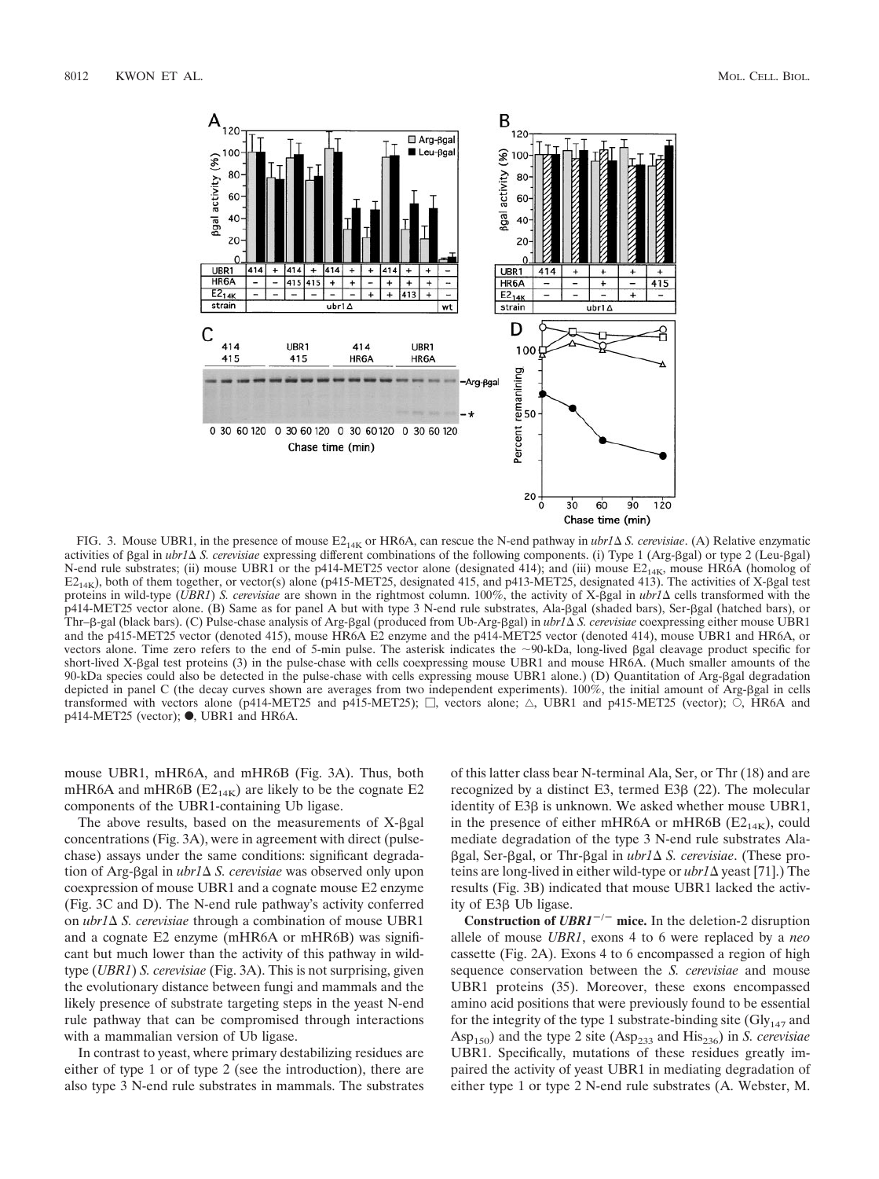

FIG. 3. Mouse UBR1, in the presence of mouse  $E_{14K}$  or HR6A, can rescue the N-end pathway in *ubr1*  $\Delta$  *S. cerevisiae*. (A) Relative enzymatic activities of gal in *ubr1 S. cerevisiae* expressing different combinations of the following components. (i) Type 1 (Arg-gal) or type 2 (Leu-gal) N-end rule substrates; (ii) mouse UBR1 or the p414-MET25 vector alone (designated 414); and (iii) mouse  $E_{14K}$ , mouse HR6A (homolog of  $E2_{14K}$ ), both of them together, or vector(s) alone (p415-MET25, designated 415, and p413-MET25, designated 413). The activities of X-βgal test proteins in wild-type (*UBR1*) *S. cerevisiae* are shown in the rightmost column. 100%, the activity of X-gal in *ubr1* cells transformed with the p414-MET25 vector alone. (B) Same as for panel A but with type 3 N-end rule substrates, Ala-gal (shaded bars), Ser-gal (hatched bars), or Thr- $\beta$ -gal (black bars). (C) Pulse-chase analysis of Arg- $\beta$ gal (produced from Ub-Arg- $\beta$ gal) in *ubr1*  $\Delta$  *S. cerevisiae* coexpressing either mouse UBR1 and the p415-MET25 vector (denoted 415), mouse HR6A E2 enzyme and the p414-MET25 vector (denoted 414), mouse UBR1 and HR6A, or vectors alone. Time zero refers to the end of 5-min pulse. The asterisk indicates the  $\sim$ 90-kDa, long-lived  $\beta$ gal cleavage product specific for short-lived X- $\beta$ gal test proteins (3) in the pulse-chase with cells coexpressing mouse UBR1 and mouse HR6A. (Much smaller amounts of the 90-kDa species could also be detected in the pulse-chase with cells expressing mouse UBR1 alone.) (D) Quantitation of Arg-gal degradation depicted in panel C (the decay curves shown are averages from two independent experiments). 100%, the initial amount of Arg-Bgal in cells transformed with vectors alone (p414-MET25 and p415-MET25);  $\square$ , vectors alone;  $\triangle$ , UBR1 and p415-MET25 (vector);  $\bigcirc$ , HR6A and  $p414-MET25$  (vector);  $\bullet$ , UBR1 and HR6A.

mouse UBR1, mHR6A, and mHR6B (Fig. 3A). Thus, both mHR6A and mHR6B ( $E2_{14K}$ ) are likely to be the cognate E2 components of the UBR1-containing Ub ligase.

The above results, based on the measurements of  $X$ - $\beta$ gal concentrations (Fig. 3A), were in agreement with direct (pulsechase) assays under the same conditions: significant degradation of Arg-gal in *ubr1 S. cerevisiae* was observed only upon coexpression of mouse UBR1 and a cognate mouse E2 enzyme (Fig. 3C and D). The N-end rule pathway's activity conferred on *ubr1 S. cerevisiae* through a combination of mouse UBR1 and a cognate E2 enzyme (mHR6A or mHR6B) was significant but much lower than the activity of this pathway in wildtype (*UBR1*) *S. cerevisiae* (Fig. 3A). This is not surprising, given the evolutionary distance between fungi and mammals and the likely presence of substrate targeting steps in the yeast N-end rule pathway that can be compromised through interactions with a mammalian version of Ub ligase.

In contrast to yeast, where primary destabilizing residues are either of type 1 or of type 2 (see the introduction), there are also type 3 N-end rule substrates in mammals. The substrates of this latter class bear N-terminal Ala, Ser, or Thr (18) and are recognized by a distinct E3, termed E3B (22). The molecular identity of  $E3\beta$  is unknown. We asked whether mouse UBR1, in the presence of either mHR6A or mHR6B ( $E2_{14K}$ ), could mediate degradation of the type 3 N-end rule substrates Ala gal, Ser-gal, or Thr-gal in *ubr1 S. cerevisiae*. (These proteins are long-lived in either wild-type or  $ubr1\Delta$  yeast [71].) The results (Fig. 3B) indicated that mouse UBR1 lacked the activity of  $E3\beta$  Ub ligase.

**Construction of** *UBR1<sup>-/-</sup>* **mice. In the deletion-2 disruption** allele of mouse *UBR1*, exons 4 to 6 were replaced by a *neo* cassette (Fig. 2A). Exons 4 to 6 encompassed a region of high sequence conservation between the *S. cerevisiae* and mouse UBR1 proteins (35). Moreover, these exons encompassed amino acid positions that were previously found to be essential for the integrity of the type 1 substrate-binding site  $(Gly<sub>147</sub>$  and Asp<sub>150</sub>) and the type 2 site (Asp<sub>233</sub> and His<sub>236</sub>) in *S. cerevisiae* UBR1. Specifically, mutations of these residues greatly impaired the activity of yeast UBR1 in mediating degradation of either type 1 or type 2 N-end rule substrates (A. Webster, M.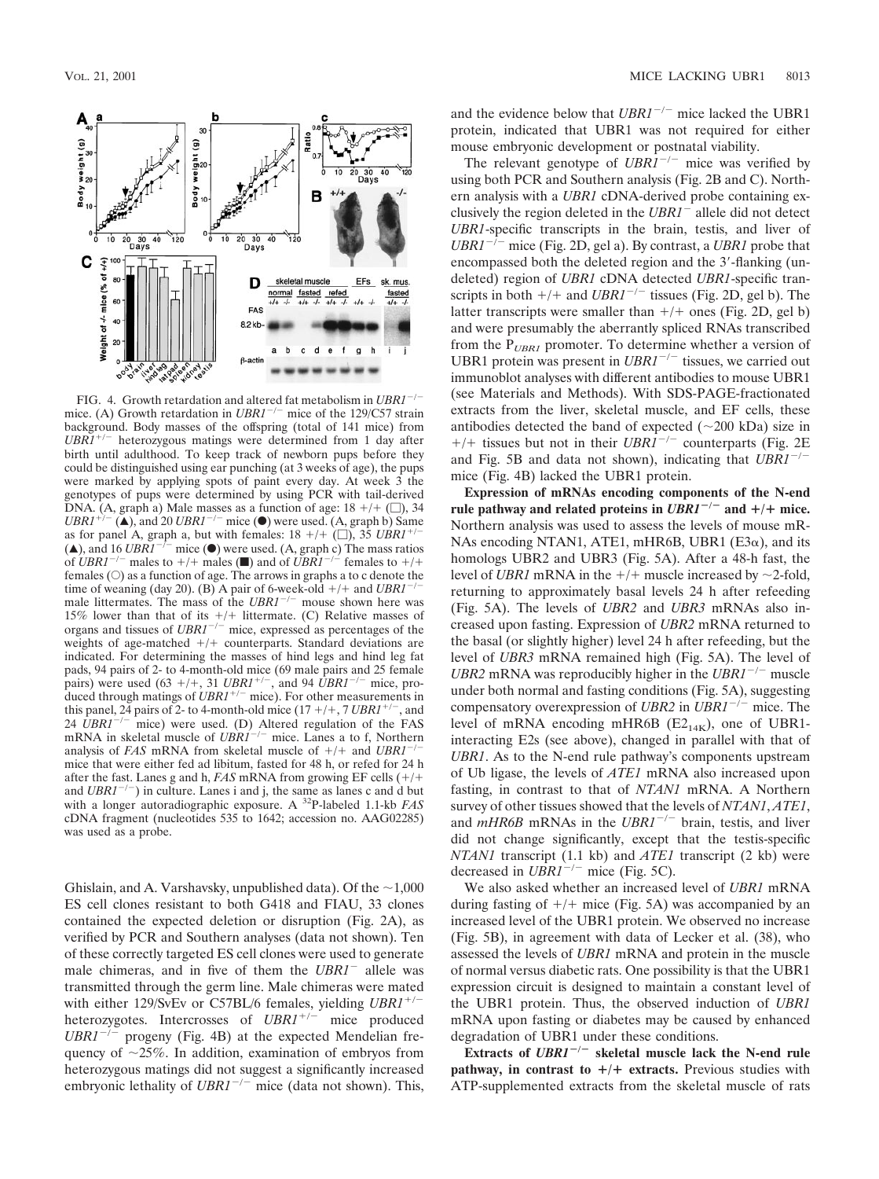

FIG. 4. Growth retardation and altered fat metabolism in *UBR1<sup>-/-</sup>* mice. (A) Growth retardation in  $UBRI^{-/-}$  mice of the 129/C57 strain background. Body masses of the offspring (total of 141 mice) from  $UBR1^{+/-}$  heterozygous matings were determined from 1 day after birth until adulthood. To keep track of newborn pups before they could be distinguished using ear punching (at 3 weeks of age), the pups were marked by applying spots of paint every day. At week 3 the genotypes of pups were determined by using PCR with tail-derived DNA. (A, graph a) Male masses as a function of age:  $18 + / +$  ( $\Box$ ), 34  $UBRI^{+/-}(\triangle)$ , and 20 *UBR1<sup>-/-</sup>* mice ( $\bullet$ ) were used. (A, graph b) Same as for panel A, graph a, but with females:  $18 +/+$  ( $\Box$ ),  $35 \text{ UBR1}^{+/-}$ (A), and 16 *UBR1<sup>-1-</sup>* mice ( $\bullet$ ) were used. (A, graph c) The mass ratios of *UBR1<sup>-/-</sup>* males to +/+ males ( $\blacksquare$ ) and of *UBR1<sup>-/-</sup>* females to +/+ females  $(\bigcirc)$  as a function of age. The arrows in graphs a to c denote the time of weaning (day 20). (B) A pair of 6-week-old  $+/+$  and *UBR1<sup>-/</sup>* male littermates. The mass of the  $UBRI^{-/-}$  mouse shown here was 15% lower than that of its  $+/+$  littermate. (C) Relative masses of organs and tissues of  $UBRI^{-/-}$  mice, expressed as percentages of the weights of age-matched  $+/+$  counterparts. Standard deviations are indicated. For determining the masses of hind legs and hind leg fat pads, 94 pairs of 2- to 4-month-old mice (69 male pairs and 25 female pairs) were used  $(63 +/+, 31 \text{ UBR1}^{+/-})$ , and 94  $\overline{UBR1}^{-/-}$  mice, produced through matings of  $UBRI^{+/-}$  mice). For other measurements in this panel,  $2\overline{4}$  pairs of 2- to 4-month-old mice  $(17 + / +, 7 \text{ UBR1}^{+/-})$ , and 24  $\overline{UBRI}^{-/-}$  mice) were used. (D) Altered regulation of the FAS mRNA in skeletal muscle of *UBR1<sup>-/-</sup>* mice. Lanes a to f, Northern analysis of *FAS* mRNA from skeletal muscle of  $+/+$  and *UBR1*<sup>-</sup> mice that were either fed ad libitum, fasted for 48 h, or refed for 24 h after the fast. Lanes g and h,  $FAS$  mRNA from growing EF cells  $(+/+)$ and  $UBRI^{-/-}$ ) in culture. Lanes i and j, the same as lanes c and d but with a longer autoradiographic exposure. A 32P-labeled 1.1-kb *FAS* cDNA fragment (nucleotides 535 to 1642; accession no. AAG02285) was used as a probe.

Ghislain, and A. Varshavsky, unpublished data). Of the  $\sim$ 1,000 ES cell clones resistant to both G418 and FIAU, 33 clones contained the expected deletion or disruption (Fig. 2A), as verified by PCR and Southern analyses (data not shown). Ten of these correctly targeted ES cell clones were used to generate male chimeras, and in five of them the *UBR1*<sup>-</sup> allele was transmitted through the germ line. Male chimeras were mated with either 129/SvEv or C57BL/6 females, yielding *UBR1<sup>+/-</sup>* heterozygotes. Intercrosses of UBR1<sup>+/-</sup> mice produced  $UBRI^{-/-}$  progeny (Fig. 4B) at the expected Mendelian frequency of  $\sim$ 25%. In addition, examination of embryos from heterozygous matings did not suggest a significantly increased embryonic lethality of  $UBRI^{-/-}$  mice (data not shown). This, and the evidence below that  $UBRI^{-/-}$  mice lacked the UBR1 protein, indicated that UBR1 was not required for either mouse embryonic development or postnatal viability.

The relevant genotype of  $UBRI^{-/-}$  mice was verified by using both PCR and Southern analysis (Fig. 2B and C). Northern analysis with a *UBR1* cDNA-derived probe containing exclusively the region deleted in the *UBR1*<sup>-</sup> allele did not detect *UBR1*-specific transcripts in the brain, testis, and liver of  $UBRI^{-1}$  mice (Fig. 2D, gel a). By contrast, a *UBR1* probe that encompassed both the deleted region and the 3'-flanking (undeleted) region of *UBR1* cDNA detected *UBR1*-specific transcripts in both  $+/+$  and *UBR1<sup>-/-</sup>* tissues (Fig. 2D, gel b). The latter transcripts were smaller than  $+/+$  ones (Fig. 2D, gel b) and were presumably the aberrantly spliced RNAs transcribed from the P*UBR1* promoter. To determine whether a version of UBR1 protein was present in  $UBRI^{-/-}$  tissues, we carried out immunoblot analyses with different antibodies to mouse UBR1 (see Materials and Methods). With SDS-PAGE-fractionated extracts from the liver, skeletal muscle, and EF cells, these antibodies detected the band of expected  $(\sim 200 \text{ kDa})$  size in  $+/-$  tissues but not in their *UBR1<sup>-/-</sup>* counterparts (Fig. 2E) and Fig. 5B and data not shown), indicating that  $UBRI^{-/-}$ mice (Fig. 4B) lacked the UBR1 protein.

**Expression of mRNAs encoding components of the N-end** rule pathway and related proteins in  $UBRI^{-/-}$  and  $+/+$  mice. Northern analysis was used to assess the levels of mouse mR-NAs encoding NTAN1, ATE1, mHR6B, UBR1 (E3 $\alpha$ ), and its homologs UBR2 and UBR3 (Fig. 5A). After a 48-h fast, the level of *UBR1* mRNA in the  $+/+$  muscle increased by  $\sim$ 2-fold, returning to approximately basal levels 24 h after refeeding (Fig. 5A). The levels of *UBR2* and *UBR3* mRNAs also increased upon fasting. Expression of *UBR2* mRNA returned to the basal (or slightly higher) level 24 h after refeeding, but the level of *UBR3* mRNA remained high (Fig. 5A). The level of *UBR2* mRNA was reproducibly higher in the *UBR1<sup>-/-</sup>* muscle under both normal and fasting conditions (Fig. 5A), suggesting compensatory overexpression of *UBR2* in *UBR1<sup>-/-</sup>* mice. The level of mRNA encoding mHR6B  $(E2_{14K})$ , one of UBR1interacting E2s (see above), changed in parallel with that of *UBR1*. As to the N-end rule pathway's components upstream of Ub ligase, the levels of *ATE1* mRNA also increased upon fasting, in contrast to that of *NTAN1* mRNA. A Northern survey of other tissues showed that the levels of *NTAN1*, *ATE1*, and  $mHR6B$  mRNAs in the  $UBRI^{-/-}$  brain, testis, and liver did not change significantly, except that the testis-specific *NTAN1* transcript (1.1 kb) and *ATE1* transcript (2 kb) were decreased in  $UBRI^{-/-}$  mice (Fig. 5C).

We also asked whether an increased level of *UBR1* mRNA during fasting of  $+/+$  mice (Fig. 5A) was accompanied by an increased level of the UBR1 protein. We observed no increase (Fig. 5B), in agreement with data of Lecker et al. (38), who assessed the levels of *UBR1* mRNA and protein in the muscle of normal versus diabetic rats. One possibility is that the UBR1 expression circuit is designed to maintain a constant level of the UBR1 protein. Thus, the observed induction of *UBR1* mRNA upon fasting or diabetes may be caused by enhanced degradation of UBR1 under these conditions.

**Extracts of** *UBR1***/ skeletal muscle lack the N-end rule pathway, in contrast to**  $+/+$  **extracts.** Previous studies with ATP-supplemented extracts from the skeletal muscle of rats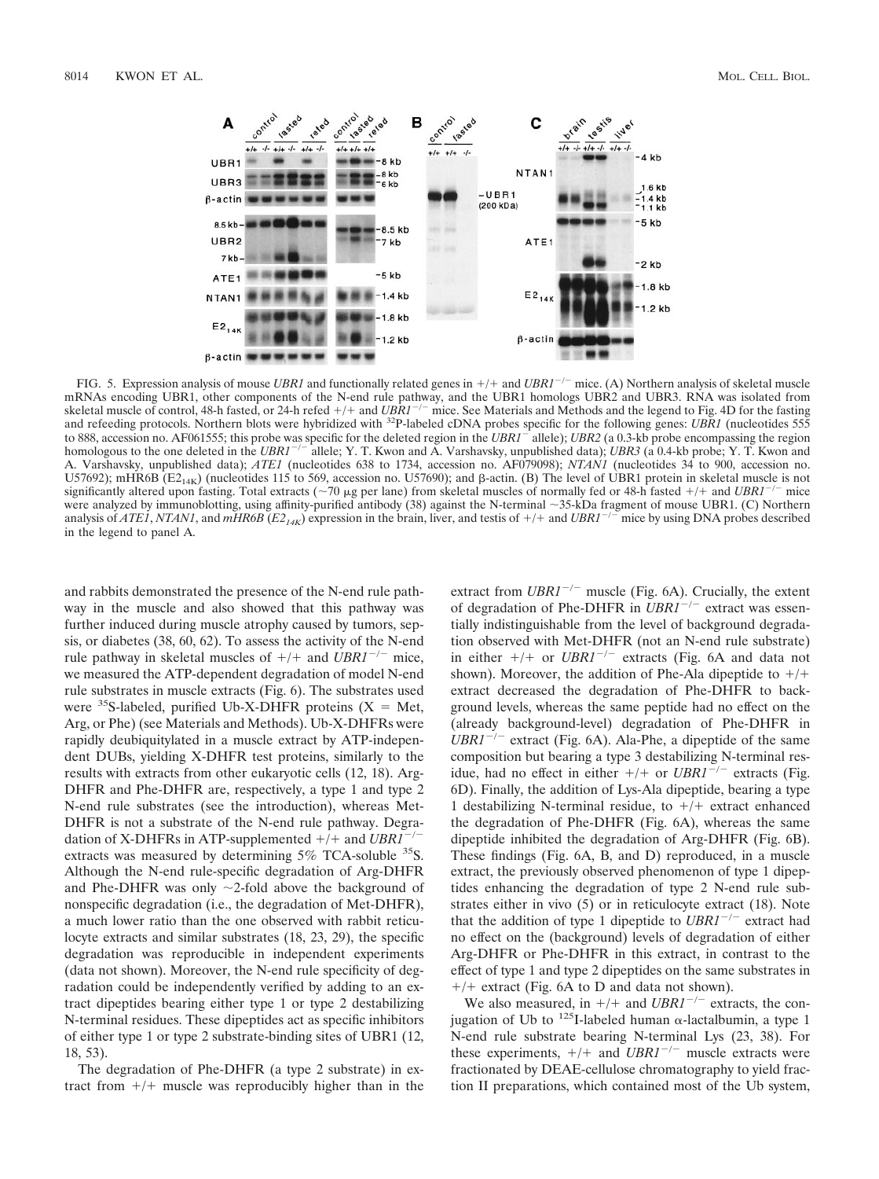

FIG. 5. Expression analysis of mouse *UBR1* and functionally related genes in  $+/+$  and *UBR1<sup>-/-</sup>* mice. (A) Northern analysis of skeletal muscle mRNAs encoding UBR1, other components of the N-end rule pathway, and the UBR1 homologs UBR2 and UBR3. RNA was isolated from skeletal muscle of control, 48-h fasted, or 24-h refed  $+/+$  and  $UBRI^{-/-}$  mice. See Materials and Methods and the legend to Fig. 4D for the fasting and refeeding protocols. Northern blots were hybridized with <sup>32</sup>P-labeled cDNA probes specific for the following genes: *UBR1* (nucleotides 555 to 888, accession no. AF061555; this probe was specific for the deleted region in the *UBR1*<sup>-</sup> allele); *UBR2* (a 0.3-kb probe encompassing the region homologous to the one deleted in the *UBR1<sup>-/-</sup>* allele; Y. T. Kwon and A. Varshavsky, unpublished data); *UBR3* (a 0.4-kb probe; Y. T. Kwon and homologous to the one deleted in the *UBR1<sup>-/-</sup>* allele; Y. T. Kwon and A. Va A. Varshavsky, unpublished data); *ATE1* (nucleotides 638 to 1734, accession no. AF079098); *NTAN1* (nucleotides 34 to 900, accession no. U57692); mHR6B  $(EZ_{14K})$  (nucleotides 115 to 569, accession no. U57690); and  $\beta$ -actin. (B) The level of UBR1 protein in skeletal muscle is not significantly altered upon fasting. Total extracts ( $\sim$ 70  $\mu$ g per lane) from skeletal muscles of normally fed or 48-h fasted +/+ and *UBR1<sup>-/-</sup>* mice were analyzed by immunoblotting, using affinity-purified antibody (38) against the N-terminal  $\sim$ 35-kDa fragment of mouse UBR1. (C) Northern analysis of *ATE1*, *NTAN1*, and *mHR6B* ( $E2_{14K}$ ) expression in the brain, liver, and testis of  $+/+$  and  $UBRI^{-/-}$  mice by using DNA probes described in the legend to panel A.

and rabbits demonstrated the presence of the N-end rule pathway in the muscle and also showed that this pathway was further induced during muscle atrophy caused by tumors, sepsis, or diabetes (38, 60, 62). To assess the activity of the N-end rule pathway in skeletal muscles of  $+/+$  and *UBR1<sup>-/-</sup>* mice, we measured the ATP-dependent degradation of model N-end rule substrates in muscle extracts (Fig. 6). The substrates used were <sup>35</sup>S-labeled, purified Ub-X-DHFR proteins  $(X = Met,$ Arg, or Phe) (see Materials and Methods). Ub-X-DHFRs were rapidly deubiquitylated in a muscle extract by ATP-independent DUBs, yielding X-DHFR test proteins, similarly to the results with extracts from other eukaryotic cells (12, 18). Arg-DHFR and Phe-DHFR are, respectively, a type 1 and type 2 N-end rule substrates (see the introduction), whereas Met-DHFR is not a substrate of the N-end rule pathway. Degradation of X-DHFRs in ATP-supplemented  $+/+$  and *UBR1<sup>-/-</sup>* extracts was measured by determining 5% TCA-soluble <sup>35</sup>S. Although the N-end rule-specific degradation of Arg-DHFR and Phe-DHFR was only  $\sim$ 2-fold above the background of nonspecific degradation (i.e., the degradation of Met-DHFR), a much lower ratio than the one observed with rabbit reticulocyte extracts and similar substrates (18, 23, 29), the specific degradation was reproducible in independent experiments (data not shown). Moreover, the N-end rule specificity of degradation could be independently verified by adding to an extract dipeptides bearing either type 1 or type 2 destabilizing N-terminal residues. These dipeptides act as specific inhibitors of either type 1 or type 2 substrate-binding sites of UBR1 (12, 18, 53).

The degradation of Phe-DHFR (a type 2 substrate) in extract from  $+/+$  muscle was reproducibly higher than in the

extract from  $UBRI^{-/-}$  muscle (Fig. 6A). Crucially, the extent of degradation of Phe-DHFR in  $UBRI^{-/-}$  extract was essentially indistinguishable from the level of background degradation observed with Met-DHFR (not an N-end rule substrate) in either  $+/+$  or *UBR1<sup>-/-</sup>* extracts (Fig. 6A and data not shown). Moreover, the addition of Phe-Ala dipeptide to  $+/+$ extract decreased the degradation of Phe-DHFR to background levels, whereas the same peptide had no effect on the (already background-level) degradation of Phe-DHFR in  $UBRI^{-/-}$  extract (Fig. 6A). Ala-Phe, a dipeptide of the same composition but bearing a type 3 destabilizing N-terminal residue, had no effect in either  $+/-$  or *UBR1<sup>-/-</sup>* extracts (Fig. 6D). Finally, the addition of Lys-Ala dipeptide, bearing a type 1 destabilizing N-terminal residue, to  $+/+$  extract enhanced the degradation of Phe-DHFR (Fig. 6A), whereas the same dipeptide inhibited the degradation of Arg-DHFR (Fig. 6B). These findings (Fig. 6A, B, and D) reproduced, in a muscle extract, the previously observed phenomenon of type 1 dipeptides enhancing the degradation of type 2 N-end rule substrates either in vivo (5) or in reticulocyte extract (18). Note that the addition of type 1 dipeptide to  $UBRI^{-/-}$  extract had no effect on the (background) levels of degradation of either Arg-DHFR or Phe-DHFR in this extract, in contrast to the effect of type 1 and type 2 dipeptides on the same substrates in  $+/+$  extract (Fig. 6A to D and data not shown).

We also measured, in  $+/+$  and *UBR1<sup>-/-</sup>* extracts, the conjugation of Ub to  $^{125}$ I-labeled human  $\alpha$ -lactalbumin, a type 1 N-end rule substrate bearing N-terminal Lys (23, 38). For these experiments,  $+/+$  and *UBR1<sup>-/-</sup>* muscle extracts were fractionated by DEAE-cellulose chromatography to yield fraction II preparations, which contained most of the Ub system,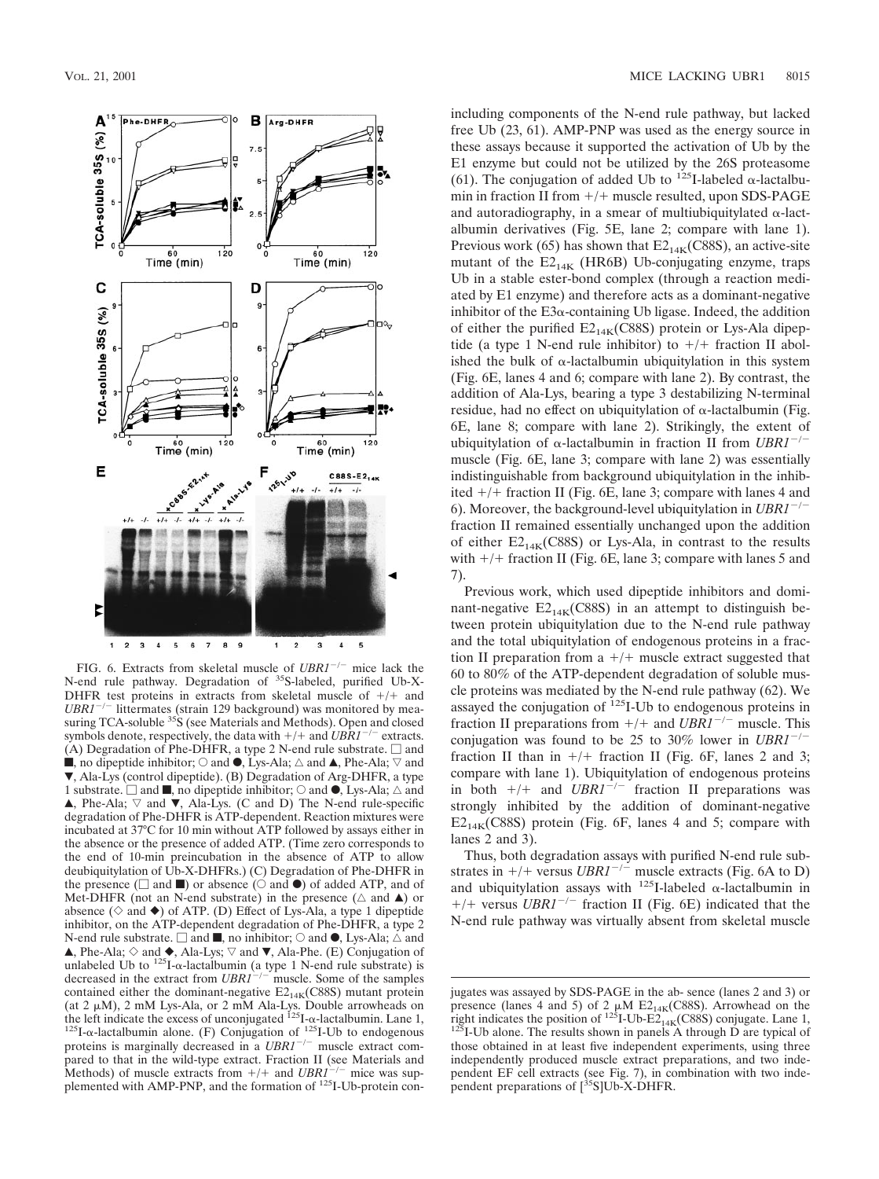

FIG. 6. Extracts from skeletal muscle of  $UBRI^{-/-}$  mice lack the N-end rule pathway. Degradation of <sup>35</sup>S-labeled, purified Ub-X-DHFR test proteins in extracts from skeletal muscle of  $+/+$  and  $UBRI^{-/-}$  littermates (strain 129 background) was monitored by measuring TCA-soluble <sup>35</sup>S (see Materials and Methods). Open and closed symbols denote, respectively, the data with  $+/+$  and  $UBRI^{-/-}$  extracts. (A) Degradation of Phe-DHFR, a type 2 N-end rule substrate.  $\square$  and  $\blacksquare$ , no dipeptide inhibitor;  $\bigcirc$  and  $\blacksquare$ , Lys-Ala;  $\bigtriangleup$  and  $\blacktriangle$ , Phe-Ala;  $\bigtriangledown$  and , Ala-Lys (control dipeptide). (B) Degradation of Arg-DHFR, a type 1 substrate.  $\square$  and  $\square$ , no dipeptide inhibitor;  $\bigcirc$  and  $\bullet$ , Lys-Ala;  $\triangle$  and  $\blacktriangle$ , Phe-Ala;  $\triangledown$  and  $\nabla$ , Ala-Lys. (C and D) The N-end rule-specific degradation of Phe-DHFR is ATP-dependent. Reaction mixtures were incubated at 37°C for 10 min without ATP followed by assays either in the absence or the presence of added ATP. (Time zero corresponds to the end of 10-min preincubation in the absence of ATP to allow deubiquitylation of Ub-X-DHFRs.) (C) Degradation of Phe-DHFR in the presence ( $\square$  and  $\square$ ) or absence ( $\bigcirc$  and  $\bullet$ ) of added ATP, and of Met-DHFR (not an N-end substrate) in the presence  $(\triangle$  and  $\blacktriangle)$  or absence ( $\diamond$  and  $\blacklozenge$ ) of ATP. (D) Effect of Lys-Ala, a type 1 dipeptide inhibitor, on the ATP-dependent degradation of Phe-DHFR, a type 2 N-end rule substrate.  $\Box$  and  $\blacksquare$ , no inhibitor;  $\bigcirc$  and  $\spadesuit$ , Lys-Ala;  $\triangle$  and A, Phe-Ala;  $\diamond$  and  $\blacklozenge$ , Ala-Lys;  $\triangledown$  and  $\nabla$ , Ala-Phe. (E) Conjugation of unlabeled Ub to  $^{125}$ I- $\alpha$ -lactalbumin (a type 1 N-end rule substrate) is decreased in the extract from  $UBRI^{-/-}$  muscle. Some of the samples contained either the dominant-negative  $E2_{14K}(C88S)$  mutant protein (at 2  $\mu$ M), 2 mM Lys-Ala, or 2 mM Ala-Lys. Double arrowheads on the left indicate the excess of unconjugated <sup>125</sup>I- $\alpha$ -lactalbumin. Lane 1, the left indicate the excess of unconjugated  $125I$ - $\alpha$ -lactalbumin. Lane 1,  $125I$ - $\alpha$ -lactalbumin alone. (F) Conjugation of  $125I$ -Ub to endogenous proteins is marginally decreased in a  $UBRI^{-/-}$  muscle extract compared to that in the wild-type extract. Fraction II (see Materials and Methods) of muscle extracts from  $+/+$  and *UBR1<sup>-1-</sup>* mice was supplemented with AMP-PNP, and the formation of 125I-Ub-protein con-

including components of the N-end rule pathway, but lacked free Ub (23, 61). AMP-PNP was used as the energy source in these assays because it supported the activation of Ub by the E1 enzyme but could not be utilized by the 26S proteasome (61). The conjugation of added Ub to  $^{125}$ I-labeled  $\alpha$ -lactalbumin in fraction II from  $+/+$  muscle resulted, upon SDS-PAGE and autoradiography, in a smear of multiubiquitylated  $\alpha$ -lactalbumin derivatives (Fig. 5E, lane 2; compare with lane 1). Previous work (65) has shown that  $E2_{14K}(C88S)$ , an active-site mutant of the  $E2_{14K}$  (HR6B) Ub-conjugating enzyme, traps Ub in a stable ester-bond complex (through a reaction mediated by E1 enzyme) and therefore acts as a dominant-negative inhibitor of the  $E3\alpha$ -containing Ub ligase. Indeed, the addition of either the purified  $E2_{14K}(C88S)$  protein or Lys-Ala dipeptide (a type 1 N-end rule inhibitor) to  $+/+$  fraction II abolished the bulk of  $\alpha$ -lactalbumin ubiquitylation in this system (Fig. 6E, lanes 4 and 6; compare with lane 2). By contrast, the addition of Ala-Lys, bearing a type 3 destabilizing N-terminal residue, had no effect on ubiquitylation of  $\alpha$ -lactalbumin (Fig. 6E, lane 8; compare with lane 2). Strikingly, the extent of ubiquitylation of  $\alpha$ -lactalbumin in fraction II from  $UBRI^{-/-}$ muscle (Fig. 6E, lane 3; compare with lane 2) was essentially indistinguishable from background ubiquitylation in the inhibited  $+/+$  fraction II (Fig. 6E, lane 3; compare with lanes 4 and 6). Moreover, the background-level ubiquitylation in  $UBRI^{-/-}$ fraction II remained essentially unchanged upon the addition of either  $E2_{14K}(C88S)$  or Lys-Ala, in contrast to the results with  $+/+$  fraction II (Fig. 6E, lane 3; compare with lanes 5 and 7).

Previous work, which used dipeptide inhibitors and dominant-negative  $E2_{14K}(C88S)$  in an attempt to distinguish between protein ubiquitylation due to the N-end rule pathway and the total ubiquitylation of endogenous proteins in a fraction II preparation from a  $+/+$  muscle extract suggested that 60 to 80% of the ATP-dependent degradation of soluble muscle proteins was mediated by the N-end rule pathway (62). We assayed the conjugation of  $^{125}I$ -Ub to endogenous proteins in fraction II preparations from  $+/+$  and *UBR1<sup>-/-</sup>* muscle. This conjugation was found to be 25 to 30% lower in  $UBRI^{-/-}$ fraction II than in  $+/+$  fraction II (Fig. 6F, lanes 2 and 3; compare with lane 1). Ubiquitylation of endogenous proteins in both  $+/+$  and *UBR1<sup>-/-</sup>* fraction II preparations was strongly inhibited by the addition of dominant-negative  $E2_{14K}(C88S)$  protein (Fig. 6F, lanes 4 and 5; compare with lanes 2 and 3).

Thus, both degradation assays with purified N-end rule substrates in  $+/+$  versus *UBR1<sup>-/-*</sup> muscle extracts (Fig. 6A to D) and ubiquitylation assays with  $^{125}$ I-labeled  $\alpha$ -lactalbumin in  $+/+$  versus *UBR1<sup>-/-</sup>* fraction II (Fig. 6E) indicated that the N-end rule pathway was virtually absent from skeletal muscle

jugates was assayed by SDS-PAGE in the ab- sence (lanes 2 and 3) or presence (lanes 4 and 5) of 2  $\mu$ M E2<sub>14K</sub>(C88S). Arrowhead on the right indicates the position of <sup>125</sup>I-Ub-E2<sub>14K</sub>(C88S) conjugate. Lane 1, <sup>125</sup>I-Ub alone. The results shown in panels A through D are typical of those obtained in at least five independent experiments, using three independently produced muscle extract preparations, and two independent EF cell extracts (see Fig. 7), in combination with two independent preparations of  $\int^{35}S|Ub-X-DHFR$ .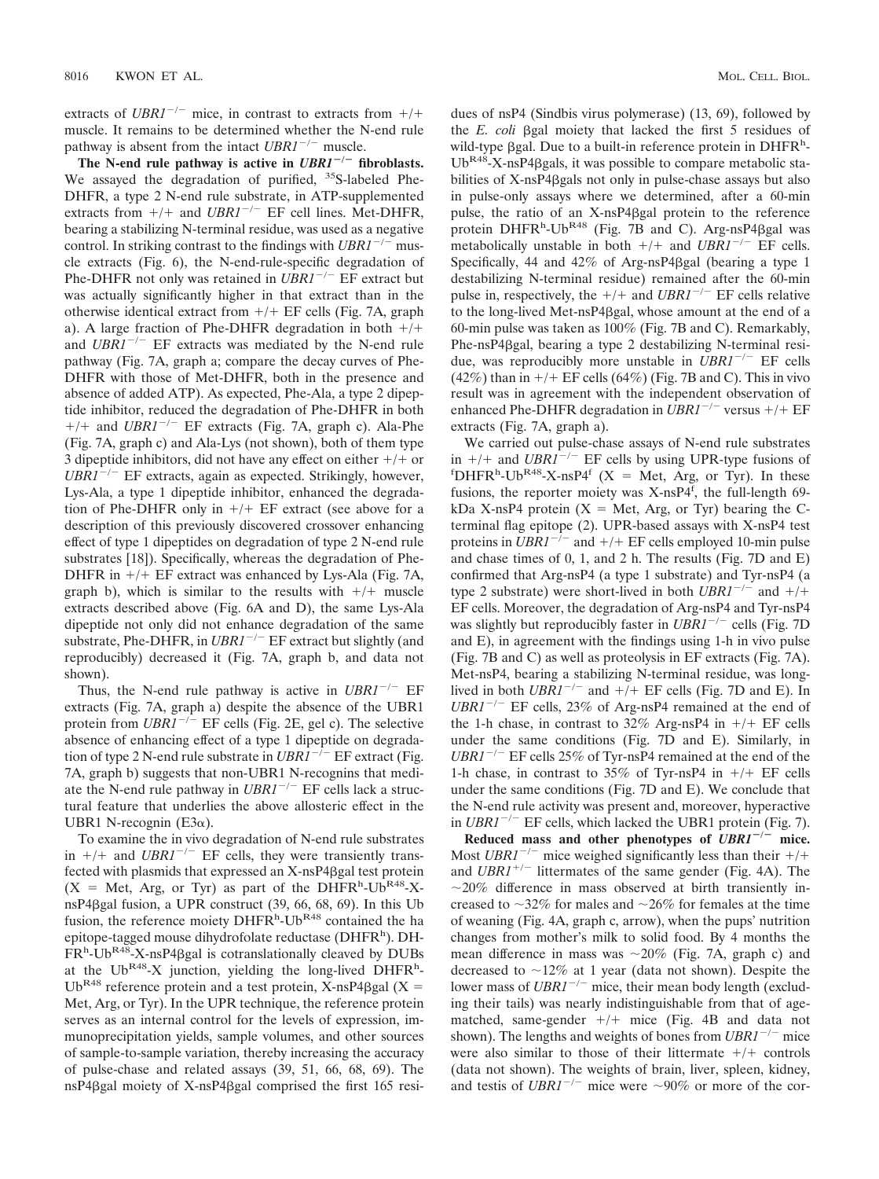extracts of *UBR1<sup>-/-</sup>* mice, in contrast to extracts from  $+/+$ muscle. It remains to be determined whether the N-end rule pathway is absent from the intact  $UBRI^{-/-}$  muscle.

The N-end rule pathway is active in  $UBRI^{-/-}$  fibroblasts. We assayed the degradation of purified, <sup>35</sup>S-labeled Phe-DHFR, a type 2 N-end rule substrate, in ATP-supplemented extracts from  $+/+$  and *UBR1<sup>-/-</sup>* EF cell lines. Met-DHFR, bearing a stabilizing N-terminal residue, was used as a negative control. In striking contrast to the findings with  $UBRI^{-/-}$  muscle extracts (Fig. 6), the N-end-rule-specific degradation of Phe-DHFR not only was retained in  $UBRI^{-/-}$  EF extract but was actually significantly higher in that extract than in the otherwise identical extract from  $+/+$  EF cells (Fig. 7A, graph a). A large fraction of Phe-DHFR degradation in both  $+/+$ and  $UBRI^{-/-}$  EF extracts was mediated by the N-end rule pathway (Fig. 7A, graph a; compare the decay curves of Phe-DHFR with those of Met-DHFR, both in the presence and absence of added ATP). As expected, Phe-Ala, a type 2 dipeptide inhibitor, reduced the degradation of Phe-DHFR in both +/+ and *UBR1<sup>-/-</sup>* EF extracts (Fig. 7A, graph c). Ala-Phe (Fig. 7A, graph c) and Ala-Lys (not shown), both of them type 3 dipeptide inhibitors, did not have any effect on either  $+/+$  or  $UBRI^{-/-}$  EF extracts, again as expected. Strikingly, however, Lys-Ala, a type 1 dipeptide inhibitor, enhanced the degradation of Phe-DHFR only in  $+/+$  EF extract (see above for a description of this previously discovered crossover enhancing effect of type 1 dipeptides on degradation of type 2 N-end rule substrates [18]). Specifically, whereas the degradation of Phe-DHFR in  $+/+$  EF extract was enhanced by Lys-Ala (Fig. 7A, graph b), which is similar to the results with  $+/+$  muscle extracts described above (Fig. 6A and D), the same Lys-Ala dipeptide not only did not enhance degradation of the same substrate, Phe-DHFR, in  $UBRI^{-/-}$  EF extract but slightly (and reproducibly) decreased it (Fig. 7A, graph b, and data not shown).

Thus, the N-end rule pathway is active in  $UBRI^{-/-}$  EF extracts (Fig. 7A, graph a) despite the absence of the UBR1 protein from  $UBRI^{-/-}$  EF cells (Fig. 2E, gel c). The selective absence of enhancing effect of a type 1 dipeptide on degradation of type 2 N-end rule substrate in  $UBRI^{-/-}$  EF extract (Fig. 7A, graph b) suggests that non-UBR1 N-recognins that mediate the N-end rule pathway in  $UBRI^{-/-}$  EF cells lack a structural feature that underlies the above allosteric effect in the UBR1 N-recognin (E3 $\alpha$ ).

To examine the in vivo degradation of N-end rule substrates in  $+/+$  and *UBR1<sup>-/-</sup>* EF cells, they were transiently transfected with plasmids that expressed an X-nsP4gal test protein  $(X = Met, Arg, or Tyr)$  as part of the DHFR<sup>h</sup>-Ub<sup>R48</sup>-XnsP4gal fusion, a UPR construct (39, 66, 68, 69). In this Ub fusion, the reference moiety DHFR<sup>h</sup>-Ub<sup>R48</sup> contained the ha epitope-tagged mouse dihydrofolate reductase (DHFR<sup>h</sup>). DH- $\overline{FR}^h$ -Ub<sup>R48</sup>-X-nsP4 $\beta$ gal is cotranslationally cleaved by DUBs at the  $Ub^{R48}$ -X junction, yielding the long-lived DHFR<sup>h</sup>-Ub<sup>R48</sup> reference protein and a test protein, X-nsP4 $\beta$ gal (X = Met, Arg, or Tyr). In the UPR technique, the reference protein serves as an internal control for the levels of expression, immunoprecipitation yields, sample volumes, and other sources of sample-to-sample variation, thereby increasing the accuracy of pulse-chase and related assays (39, 51, 66, 68, 69). The nsP4gal moiety of X-nsP4gal comprised the first 165 residues of nsP4 (Sindbis virus polymerase) (13, 69), followed by the *E. coli* gal moiety that lacked the first 5 residues of wild-type <sup>Bgal</sup>. Due to a built-in reference protein in DHFR<sup>h</sup>- $Ub^{R48}$ -X-nsP4 $\beta$ gals, it was possible to compare metabolic stabilities of X-nsP4gals not only in pulse-chase assays but also in pulse-only assays where we determined, after a 60-min pulse, the ratio of an X-nsP4gal protein to the reference protein DHFR<sup>h</sup>-Ub<sup>R48</sup> (Fig. 7B and C). Arg-nsP4 $\beta$ gal was metabolically unstable in both  $+/+$  and *UBR1<sup>-/-</sup>* EF cells. Specifically, 44 and 42% of Arg-nsP4<sub>Bgal</sub> (bearing a type 1 destabilizing N-terminal residue) remained after the 60-min pulse in, respectively, the  $+/+$  and *UBR1<sup>-/-</sup>* EF cells relative to the long-lived Met-nsP4gal, whose amount at the end of a 60-min pulse was taken as 100% (Fig. 7B and C). Remarkably, Phe-nsP4gal, bearing a type 2 destabilizing N-terminal residue, was reproducibly more unstable in  $UBRI^{-/-}$  EF cells  $(42%)$  than in  $+/+$  EF cells  $(64%)$  (Fig. 7B and C). This in vivo result was in agreement with the independent observation of enhanced Phe-DHFR degradation in  $UBRI^{-/-}$  versus  $+/+EF$ extracts (Fig. 7A, graph a).

We carried out pulse-chase assays of N-end rule substrates in  $+/+$  and *UBR1<sup>-/-</sup>* EF cells by using UPR-type fusions of  $DHFR<sup>h</sup>-Ub<sup>R48</sup>-X-nsP4<sup>f</sup>$  (X = Met, Arg, or Tyr). In these fusions, the reporter moiety was X-nsP4<sup> $\bar{f}$ </sup>, the full-length 69kDa X-nsP4 protein  $(X = Met, Arg, or Tyr)$  bearing the Cterminal flag epitope (2). UPR-based assays with X-nsP4 test proteins in  $UBRI^{-1}$  and  $+/+$  EF cells employed 10-min pulse and chase times of 0, 1, and 2 h. The results (Fig. 7D and E) confirmed that Arg-nsP4 (a type 1 substrate) and Tyr-nsP4 (a type 2 substrate) were short-lived in both  $UBRI^{-/-}$  and  $+/+$ EF cells. Moreover, the degradation of Arg-nsP4 and Tyr-nsP4 was slightly but reproducibly faster in *UBR1<sup>-/-</sup>* cells (Fig. 7D) and E), in agreement with the findings using 1-h in vivo pulse (Fig. 7B and C) as well as proteolysis in EF extracts (Fig. 7A). Met-nsP4, bearing a stabilizing N-terminal residue, was longlived in both  $UBRI^{-/-}$  and  $+/-$  EF cells (Fig. 7D and E). In  $UBRI^{-/-}$  EF cells, 23% of Arg-nsP4 remained at the end of the 1-h chase, in contrast to  $32\%$  Arg-nsP4 in  $+/+$  EF cells under the same conditions (Fig. 7D and E). Similarly, in  $UBRI^{-/-}$  EF cells 25% of Tyr-nsP4 remained at the end of the 1-h chase, in contrast to  $35\%$  of Tyr-nsP4 in  $+/+$  EF cells under the same conditions (Fig. 7D and E). We conclude that the N-end rule activity was present and, moreover, hyperactive in  $UBRI^{-/-}$  EF cells, which lacked the UBR1 protein (Fig. 7).

Reduced mass and other phenotypes of  $UBRI^{-/-}$  mice. Most *UBR1<sup>-/-</sup>* mice weighed significantly less than their  $+/+$ and *UBR1<sup>+/-</sup>* littermates of the same gender (Fig. 4A). The  $\sim$ 20% difference in mass observed at birth transiently increased to  $\sim$ 32% for males and  $\sim$ 26% for females at the time of weaning (Fig. 4A, graph c, arrow), when the pups' nutrition changes from mother's milk to solid food. By 4 months the mean difference in mass was  $\sim 20\%$  (Fig. 7A, graph c) and decreased to  $\sim$ 12% at 1 year (data not shown). Despite the lower mass of  $UBRI^{-/-}$  mice, their mean body length (excluding their tails) was nearly indistinguishable from that of agematched, same-gender  $+/+$  mice (Fig. 4B and data not shown). The lengths and weights of bones from  $UBRI^{-/-}$  mice were also similar to those of their littermate  $+/+$  controls (data not shown). The weights of brain, liver, spleen, kidney, and testis of  $UBRI^{-/-}$  mice were  $\sim 90\%$  or more of the cor-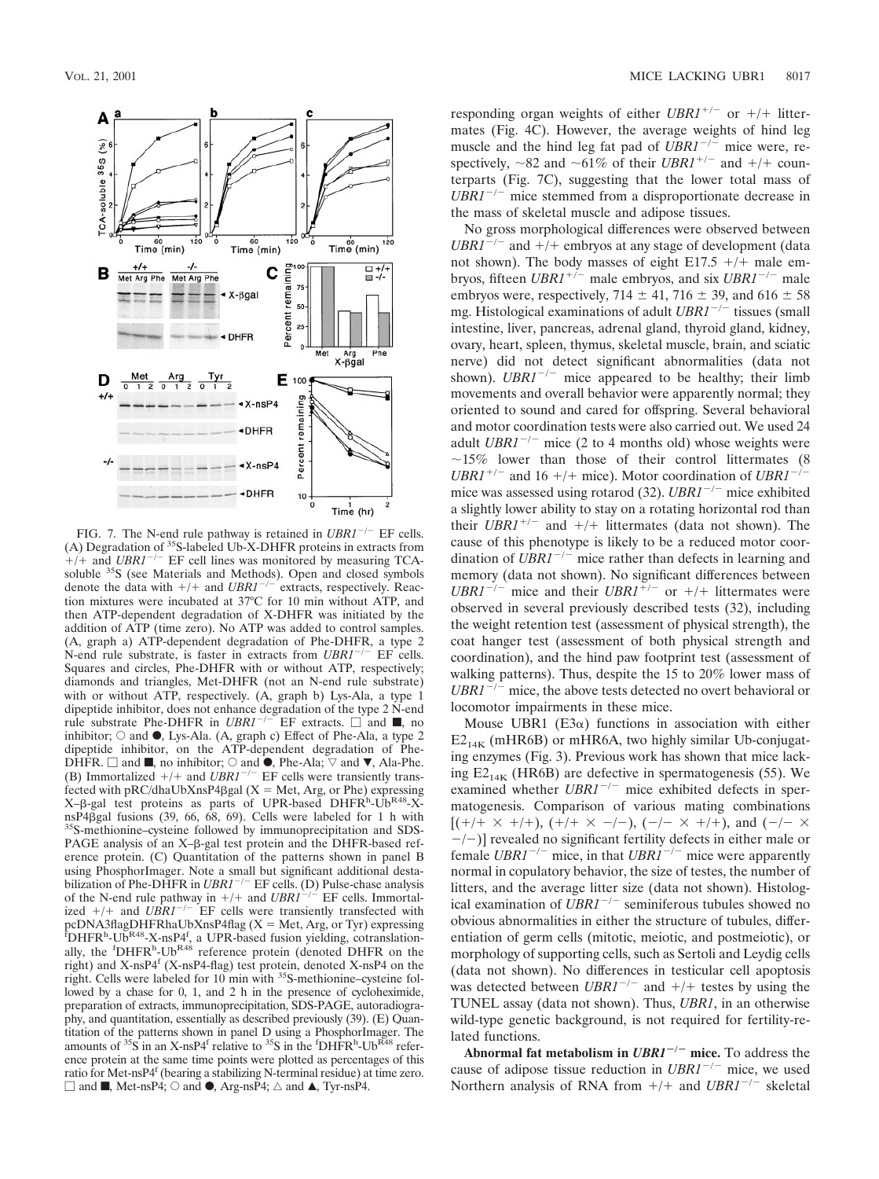

FIG. 7. The N-end rule pathway is retained in  $UBRI^{-/-}$  EF cells. (A) Degradation of 35S-labeled Ub-X-DHFR proteins in extracts from  $+(+$  and *UBR1<sup>-/-</sup>* EF cell lines was monitored by measuring TCAsoluble 35S (see Materials and Methods). Open and closed symbols denote the data with  $+/+$  and *UBR1<sup>-/-'</sup>* extracts, respectively. Reaction mixtures were incubated at 37°C for 10 min without ATP, and then ATP-dependent degradation of X-DHFR was initiated by the addition of ATP (time zero). No ATP was added to control samples. (A, graph a) ATP-dependent degradation of Phe-DHFR, a type 2 N-end rule substrate, is faster in extracts from UBR1<sup>-/-</sup> EF cells. Squares and circles, Phe-DHFR with or without ATP, respectively; diamonds and triangles, Met-DHFR (not an N-end rule substrate) with or without ATP, respectively. (A, graph b) Lys-Ala, a type 1 dipeptide inhibitor, does not enhance degradation of the type 2 N-end  $\blacksquare$ , no rule substrate Phe-DHFR in *UBR1<sup>-/-</sup>* EF extracts.  $\Box$  and  $\blacksquare$ , no inhibitor;  $\circ$  and  $\bullet$ , Lys-Ala. (A, graph c) Effect of Phe-Ala, a type 2 dipeptide inhibitor, on the ATP-dependent degradation of Phe- $\overline{\text{DHFR}}$ .  $\square$  and  $\blacksquare$ , no inhibitor;  $\bigcirc$  and  $\bigcirc$ , Phe-Ala;  $\overline{\vee}$  and  $\blacktriangledown$ , Ala-Phe. (B) Immortalized  $+/+$  and  $UBRI^{-/-}$  EF cells were transiently transfected with pRC/dhaUbXnsP4 $\beta$ gal (X = Met, Arg, or Phe) expressing  $X-\beta$ -gal test proteins as parts of UPR-based DHFR<sup>h</sup>-U<sub>D</sub>R<sub>48</sub>-XnsP4 $\beta$ gal fusions (39, 66, 68, 69). Cells were labeled for 1 h with  $35$ S-methionine–cysteine followed by immunoprecipitation and SDS-PAGE analysis of an  $X$ - $\beta$ -gal test protein and the DHFR-based reference protein. (C) Quantitation of the patterns shown in panel B using PhosphorImager. Note a small but significant additional destabilization of Phe-DHFR in  $UBRI^{-/-}$  EF cells. (D) Pulse-chase analysis of the N-end rule pathway in  $+/+$  and *UBR1*<sup> $-/-$ </sup> EF cells. Immortalized  $+/+$  and  $UBRI^{-/-}$  EF cells were transiently transfected with pcDNA3flagDHFRhaUbXnsP4flag (X = Met, Arg, or Tyr) expressing<br><sup>†</sup>DHFR<sup>h</sup>-Ub<sup>R48</sup>-X-nsP4<sup>f</sup>, a UPR-based fusion yielding, cotranslation-<br>ally, the <sup>f</sup>DHFR<sup>h</sup>-Ub<sup>R48</sup> reference protein (denoted DHFR on the right) and X-nsP4f (X-nsP4-flag) test protein, denoted X-nsP4 on the right. Cells were labeled for 10 min with 35S-methionine–cysteine followed by a chase for 0, 1, and 2 h in the presence of cycloheximide, preparation of extracts, immunoprecipitation, SDS-PAGE, autoradiography, and quantitation, essentially as described previously (39). (E) Quantitation of the patterns shown in panel D using a PhosphorImager. The amounts of  ${}^{35}S$  in an X-nsP4<sup>f</sup> relative to  ${}^{35}S$  in the  ${}^{6}DHFR^h$ -Ub<sup>R48</sup> reference protein at the same time points were plotted as percentages of this ratio for Met-nsP4f (bearing a stabilizing N-terminal residue) at time zero.  $\Box$  and  $\blacksquare$ , Met-nsP4;  $\bigcirc$  and  $\spadesuit$ , Arg-nsP4;  $\triangle$  and  $\blacktriangle$ , Tyr-nsP4.

responding organ weights of either  $UBRI^{+/-}$  or  $+/+$  littermates (Fig. 4C). However, the average weights of hind leg muscle and the hind leg fat pad of  $UBRI^{-/-}$  mice were, respectively,  $\sim$ 82 and  $\sim$ 61% of their *UBR1<sup>+/-</sup>* and +/+ counterparts (Fig. 7C), suggesting that the lower total mass of  $UBRI^{-/-}$  mice stemmed from a disproportionate decrease in the mass of skeletal muscle and adipose tissues.

No gross morphological differences were observed between  $UBRI^{-/-}$  and  $+$ /+ embryos at any stage of development (data not shown). The body masses of eight  $E17.5 +/+$  male embryos, fifteen *UBR1<sup>+/-</sup>* male embryos, and six *UBR1<sup>-/-</sup>* male embryos were, respectively, 714  $\pm$  41, 716  $\pm$  39, and 616  $\pm$  58 mg. Histological examinations of adult  $UBRI^{-/-}$  tissues (small intestine, liver, pancreas, adrenal gland, thyroid gland, kidney, ovary, heart, spleen, thymus, skeletal muscle, brain, and sciatic nerve) did not detect significant abnormalities (data not shown).  $UBRI^{-/-}$  mice appeared to be healthy; their limb movements and overall behavior were apparently normal; they oriented to sound and cared for offspring. Several behavioral and motor coordination tests were also carried out. We used 24 adult *UBR1<sup>-/-</sup>* mice (2 to 4 months old) whose weights were  $\sim$ 15% lower than those of their control littermates (8)  $UBRI^{+/-}$  and 16 +/+ mice). Motor coordination of  $UBRI^{-/-}$ mice was assessed using rotarod (32).  $UBRI^{-/-}$  mice exhibited a slightly lower ability to stay on a rotating horizontal rod than their  $UBRI^{+/-}$  and  $+/+$  littermates (data not shown). The cause of this phenotype is likely to be a reduced motor coordination of  $UBRI^{-/-}$  mice rather than defects in learning and memory (data not shown). No significant differences between  $UBRI^{-/-}$  mice and their  $UBRI^{+/-}$  or  $+/+$  littermates were observed in several previously described tests (32), including the weight retention test (assessment of physical strength), the coat hanger test (assessment of both physical strength and coordination), and the hind paw footprint test (assessment of walking patterns). Thus, despite the 15 to 20% lower mass of  $UBRI^{-/-}$  mice, the above tests detected no overt behavioral or locomotor impairments in these mice.

Mouse UBR1 ( $E3\alpha$ ) functions in association with either  $E2_{14K}$  (mHR6B) or mHR6A, two highly similar Ub-conjugating enzymes (Fig. 3). Previous work has shown that mice lacking  $E2_{14K}$  (HR6B) are defective in spermatogenesis (55). We examined whether  $UBRI^{-/-}$  mice exhibited defects in spermatogenesis. Comparison of various mating combinations  $[(+/- \times +/-), (+/- \times -/-), (-/- \times +/-),$  and  $(-/- \times$  $-/-$ )] revealed no significant fertility defects in either male or female *UBR1<sup>-/-</sup>* mice, in that *UBR1<sup>-/-</sup>* mice were apparently normal in copulatory behavior, the size of testes, the number of litters, and the average litter size (data not shown). Histological examination of  $UBRI^{-/-}$  seminiferous tubules showed no obvious abnormalities in either the structure of tubules, differentiation of germ cells (mitotic, meiotic, and postmeiotic), or morphology of supporting cells, such as Sertoli and Leydig cells (data not shown). No differences in testicular cell apoptosis was detected between  $UBRI^{-/-}$  and  $+/+$  testes by using the TUNEL assay (data not shown). Thus, *UBR1*, in an otherwise wild-type genetic background, is not required for fertility-related functions.

**Abnormal fat metabolism in** *UBR1<sup>-/-</sup>* **mice.** To address the cause of adipose tissue reduction in  $UBRI^{-/-}$  mice, we used Northern analysis of RNA from  $+/+$  and *UBR1<sup>-/-</sup>* skeletal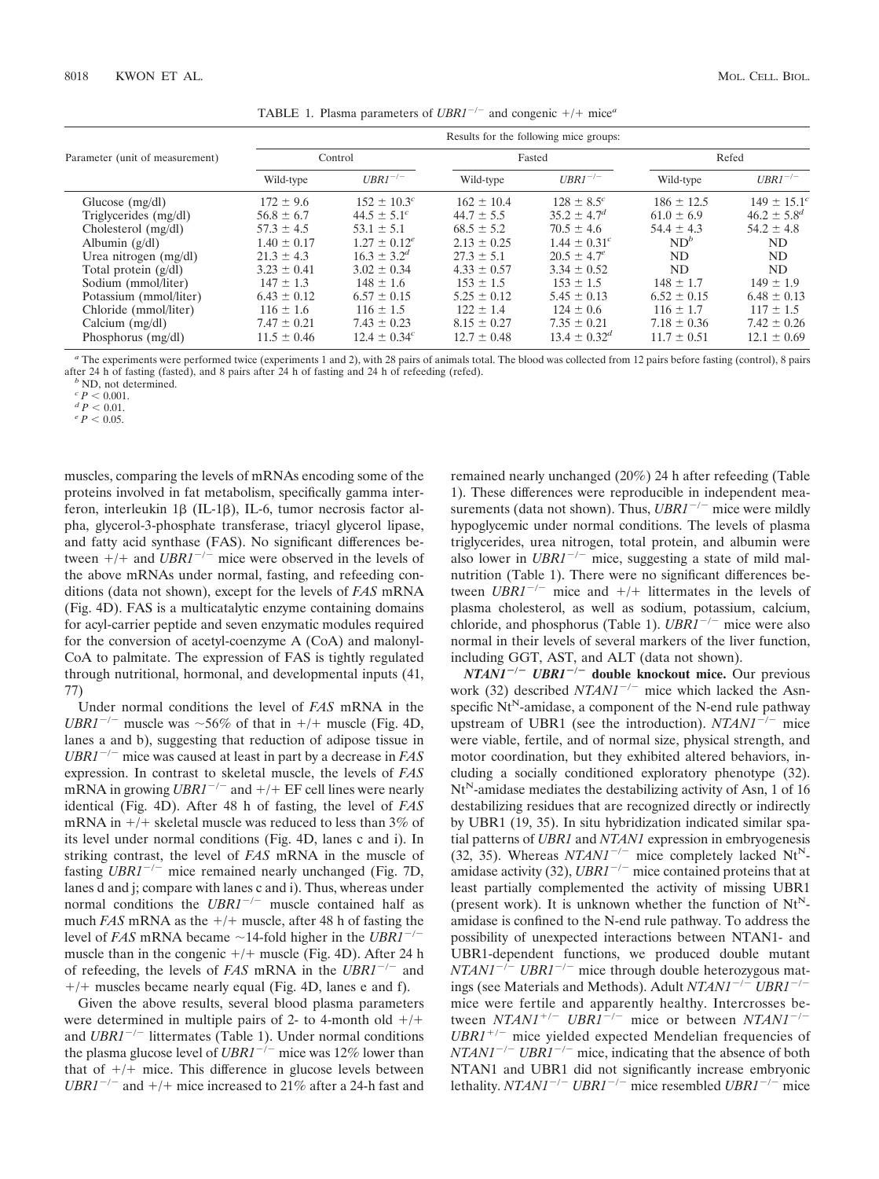| Parameter (unit of measurement) | Results for the following mice groups: |                   |                 |                   |                 |                             |
|---------------------------------|----------------------------------------|-------------------|-----------------|-------------------|-----------------|-----------------------------|
|                                 | Control                                |                   | Fasted          |                   | Refed           |                             |
|                                 | Wild-type                              | $UBRI^{-/-}$      | Wild-type       | $UBRI^{-/-}$      | Wild-type       | $UBRI^{-/-}$                |
| Glucose $(mg/dl)$               | $172 \pm 9.6$                          | $152 \pm 10.3^c$  | $162 \pm 10.4$  | $128 \pm 8.5^c$   | $186 \pm 12.5$  | $149 \pm 15.1$ <sup>c</sup> |
| Triglycerides (mg/dl)           | $56.8 \pm 6.7$                         | $44.5 \pm 5.1^c$  | $44.7 \pm 5.5$  | $35.2 \pm 4.7^d$  | $61.0 \pm 6.9$  | $46.2 \pm 5.8^{d}$          |
| Cholesterol $(mg/dl)$           | $57.3 \pm 4.5$                         | $53.1 \pm 5.1$    | $68.5 \pm 5.2$  | $70.5 \pm 4.6$    | $54.4 \pm 4.3$  | $54.2 \pm 4.8$              |
| Albumin $(g/dl)$                | $1.40 \pm 0.17$                        | $1.27 \pm 0.12^e$ | $2.13 \pm 0.25$ | $1.44 \pm 0.31^c$ | $ND^b$          | ND                          |
| Urea nitrogen (mg/dl)           | $21.3 \pm 4.3$                         | $16.3 \pm 3.2^d$  | $27.3 \pm 5.1$  | $20.5 \pm 4.7^e$  | ND              | ND                          |
| Total protein $(g/dl)$          | $3.23 \pm 0.41$                        | $3.02 \pm 0.34$   | $4.33 \pm 0.57$ | $3.34 \pm 0.52$   | ND.             | ND.                         |
| Sodium (mmol/liter)             | $147 \pm 1.3$                          | $148 \pm 1.6$     | $153 \pm 1.5$   | $153 \pm 1.5$     | $148 \pm 1.7$   | $149 \pm 1.9$               |
| Potassium (mmol/liter)          | $6.43 \pm 0.12$                        | $6.57 \pm 0.15$   | $5.25 \pm 0.12$ | $5.45 \pm 0.13$   | $6.52 \pm 0.15$ | $6.48 \pm 0.13$             |
| Chloride (mmol/liter)           | $116 \pm 1.6$                          | $116 \pm 1.5$     | $122 \pm 1.4$   | $124 \pm 0.6$     | $116 \pm 1.7$   | $117 \pm 1.5$               |
| Calcium $(mg/dl)$               | $7.47 \pm 0.21$                        | $7.43 \pm 0.23$   | $8.15 \pm 0.27$ | $7.35 \pm 0.21$   | $7.18 \pm 0.36$ | $7.42 \pm 0.26$             |
| Phosphorus (mg/dl)              | $11.5 \pm 0.46$                        | $12.4 \pm 0.34^c$ | $12.7 \pm 0.48$ | $13.4 \pm 0.32^d$ | $11.7 \pm 0.51$ | $12.1 \pm 0.69$             |

TABLE 1. Plasma parameters of  $UBRI^{-/-}$  and congenic  $+/+$  mice<sup>*a*</sup>

*<sup>a</sup>* The experiments were performed twice (experiments 1 and 2), with 28 pairs of animals total. The blood was collected from 12 pairs before fasting (control), 8 pairs after 24 h of fasting (fasted), and 8 pairs after 24 h of fasting and 24 h of refeeding (refed). *<sup>b</sup>* ND, not determined.

muscles, comparing the levels of mRNAs encoding some of the proteins involved in fat metabolism, specifically gamma interferon, interleukin 1 $\beta$  (IL-1 $\beta$ ), IL-6, tumor necrosis factor alpha, glycerol-3-phosphate transferase, triacyl glycerol lipase, and fatty acid synthase (FAS). No significant differences between  $+/+$  and *UBR1<sup>-/-</sup>* mice were observed in the levels of the above mRNAs under normal, fasting, and refeeding conditions (data not shown), except for the levels of *FAS* mRNA (Fig. 4D). FAS is a multicatalytic enzyme containing domains for acyl-carrier peptide and seven enzymatic modules required for the conversion of acetyl-coenzyme A (CoA) and malonyl-CoA to palmitate. The expression of FAS is tightly regulated through nutritional, hormonal, and developmental inputs (41, 77)

Under normal conditions the level of *FAS* mRNA in the *UBR1<sup>-/-</sup>* muscle was  $\sim$  56% of that in +/+ muscle (Fig. 4D, lanes a and b), suggesting that reduction of adipose tissue in UBR1<sup>-/-</sup> mice was caused at least in part by a decrease in *FAS* expression. In contrast to skeletal muscle, the levels of *FAS* mRNA in growing *UBR1<sup>-/-</sup>* and  $+/+$  EF cell lines were nearly identical (Fig. 4D). After 48 h of fasting, the level of *FAS* mRNA in  $+/+$  skeletal muscle was reduced to less than 3% of its level under normal conditions (Fig. 4D, lanes c and i). In striking contrast, the level of *FAS* mRNA in the muscle of fasting  $UBRI^{-/-}$  mice remained nearly unchanged (Fig. 7D, lanes d and j; compare with lanes c and i). Thus, whereas under normal conditions the  $UBRI^{-/-}$  muscle contained half as much  $FAS$  mRNA as the  $+/+$  muscle, after 48 h of fasting the level of *FAS* mRNA became  $\sim$  14-fold higher in the *UBR1<sup>-/-</sup>* muscle than in the congenic  $+/+$  muscle (Fig. 4D). After 24 h of refeeding, the levels of *FAS* mRNA in the *UBR1<sup>-/-</sup>* and  $+/+$  muscles became nearly equal (Fig. 4D, lanes e and f).

Given the above results, several blood plasma parameters were determined in multiple pairs of 2- to 4-month old  $+/+$ and  $UBRI^{-/-}$  littermates (Table 1). Under normal conditions the plasma glucose level of  $UBRI^{-1}$  mice was 12% lower than that of  $+/+$  mice. This difference in glucose levels between  $UBRI^{-/-}$  and  $+/+$  mice increased to 21% after a 24-h fast and

remained nearly unchanged (20%) 24 h after refeeding (Table 1). These differences were reproducible in independent measurements (data not shown). Thus,  $UBRI^{-/-}$  mice were mildly hypoglycemic under normal conditions. The levels of plasma triglycerides, urea nitrogen, total protein, and albumin were also lower in  $UBRI^{-/-}$  mice, suggesting a state of mild malnutrition (Table 1). There were no significant differences between  $UBRI^{-/-}$  mice and  $+/+$  littermates in the levels of plasma cholesterol, as well as sodium, potassium, calcium, chloride, and phosphorus (Table 1).  $UBRI^{-/-}$  mice were also normal in their levels of several markers of the liver function, including GGT, AST, and ALT (data not shown).

 $NTAN1^{-/-}$  *UBR1<sup>-/-</sup>* double knockout mice. Our previous work (32) described  $NTAN1^{-/-}$  mice which lacked the Asnspecific  $Nt^N$ -amidase, a component of the N-end rule pathway upstream of UBR1 (see the introduction).  $NTAN1^{-/-}$  mice were viable, fertile, and of normal size, physical strength, and motor coordination, but they exhibited altered behaviors, including a socially conditioned exploratory phenotype (32).  $Nt<sup>N</sup>$ -amidase mediates the destabilizing activity of Asn, 1 of 16 destabilizing residues that are recognized directly or indirectly by UBR1 (19, 35). In situ hybridization indicated similar spatial patterns of *UBR1* and *NTAN1* expression in embryogenesis (32, 35). Whereas  $NTAN1^{-/-}$  mice completely lacked Nt<sup>N</sup>amidase activity (32),  $UBRI^{-/-}$  mice contained proteins that at least partially complemented the activity of missing UBR1 (present work). It is unknown whether the function of  $Nt^{N-1}$ amidase is confined to the N-end rule pathway. To address the possibility of unexpected interactions between NTAN1- and UBR1-dependent functions, we produced double mutant  $NTAN1^{-/-} UBR1^{-/-}$  mice through double heterozygous matings (see Materials and Methods). Adult *NTAN1<sup>-/-</sup> UBR1<sup>-/-</sup>* mice were fertile and apparently healthy. Intercrosses between  $NTANI^{+/-}$  UBR1<sup>-/-</sup> mice or between  $NTANI^{-/-}$  $UBRI^{+/-}$  mice yielded expected Mendelian frequencies of  $NTAN1^{-/-} UBR1^{-/-}$  mice, indicating that the absence of both NTAN1 and UBR1 did not significantly increase embryonic lethality.  $NTAN1^{-/-} UBR1^{-/-}$  mice resembled  $UBR1^{-/-}$  mice

 $\begin{array}{l} c \ P < 0.001. \\ d \ P < 0.01. \\ e \ P < 0.05. \end{array}$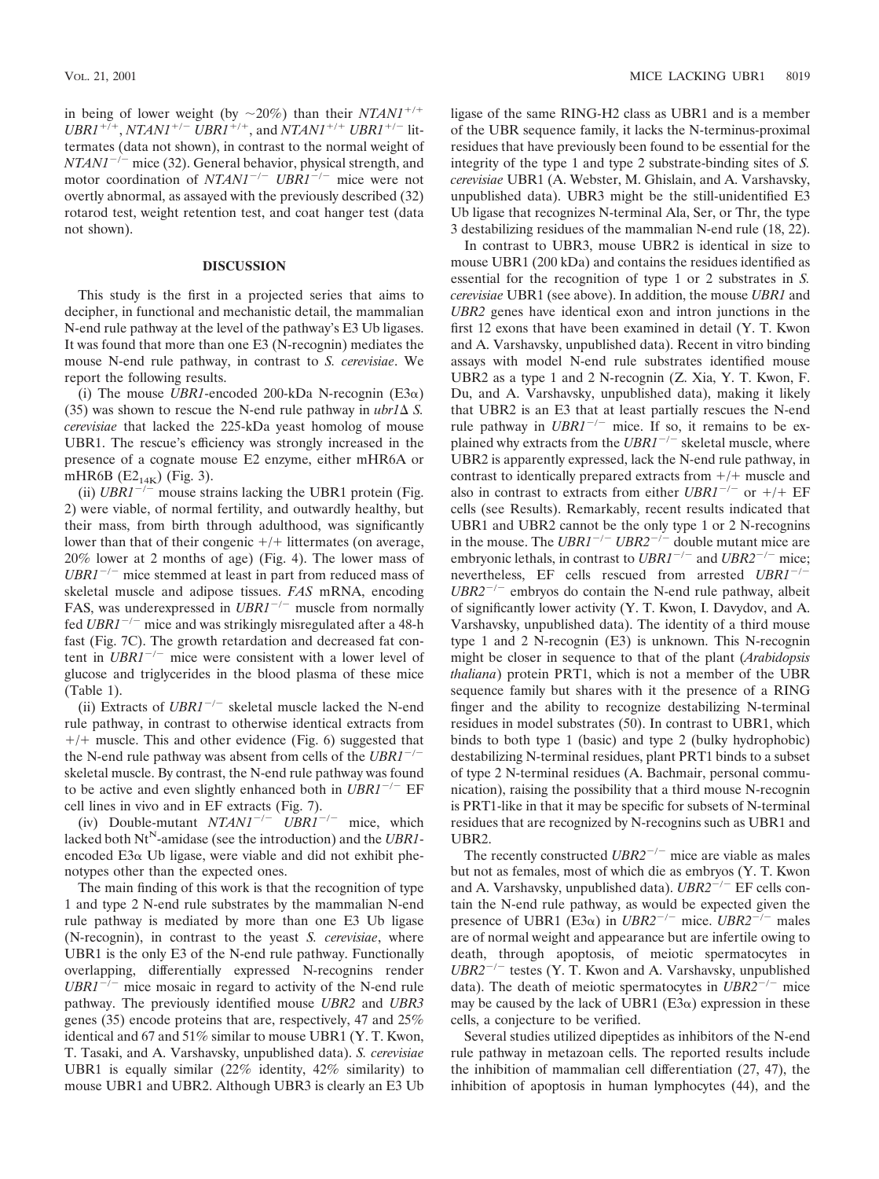in being of lower weight (by  $\sim 20\%$ ) than their *NTAN1<sup>+/+</sup>*  $UBRI^{+/+}$ , *NTAN1<sup>+/-</sup>*  $UBRI^{+/+}$ , and *NTAN1<sup>+/+</sup> UBR1<sup>+/-</sup> lit*termates (data not shown), in contrast to the normal weight of  $NTAN1^{-/-}$  mice (32). General behavior, physical strength, and motor coordination of  $NTAN1^{-/-}$  UBR1<sup>-/-</sup> mice were not overtly abnormal, as assayed with the previously described (32) rotarod test, weight retention test, and coat hanger test (data not shown).

#### **DISCUSSION**

This study is the first in a projected series that aims to decipher, in functional and mechanistic detail, the mammalian N-end rule pathway at the level of the pathway's E3 Ub ligases. It was found that more than one E3 (N-recognin) mediates the mouse N-end rule pathway, in contrast to *S. cerevisiae*. We report the following results.

(i) The mouse *UBR1*-encoded 200-kDa N-recognin (E3 $\alpha$ ) (35) was shown to rescue the N-end rule pathway in  $ubr1\Delta S$ . *cerevisiae* that lacked the 225-kDa yeast homolog of mouse UBR1. The rescue's efficiency was strongly increased in the presence of a cognate mouse E2 enzyme, either mHR6A or mHR6B  $(E2_{14K})$  (Fig. 3).

(ii)  $UBRI^{-/-}$  mouse strains lacking the UBR1 protein (Fig. 2) were viable, of normal fertility, and outwardly healthy, but their mass, from birth through adulthood, was significantly lower than that of their congenic  $+/+$  littermates (on average, 20% lower at 2 months of age) (Fig. 4). The lower mass of  $UBRI^{-/-}$  mice stemmed at least in part from reduced mass of skeletal muscle and adipose tissues. *FAS* mRNA, encoding FAS, was underexpressed in  $UBRI^{-/-}$  muscle from normally fed *UBR1<sup>-/-</sup>* mice and was strikingly misregulated after a 48-h fast (Fig. 7C). The growth retardation and decreased fat content in  $UBRI^{-/-}$  mice were consistent with a lower level of glucose and triglycerides in the blood plasma of these mice (Table 1).

(ii) Extracts of  $UBRI^{-/-}$  skeletal muscle lacked the N-end rule pathway, in contrast to otherwise identical extracts from  $+/+$  muscle. This and other evidence (Fig. 6) suggested that the N-end rule pathway was absent from cells of the  $UBRI^{-/-}$ skeletal muscle. By contrast, the N-end rule pathway was found to be active and even slightly enhanced both in  $UBRI^{-/-}$  EF cell lines in vivo and in EF extracts (Fig. 7).

(iv) Double-mutant  $NTAN1^{-/-}$  UBR1<sup>-/-</sup> mice, which lacked both Nt<sup>N</sup>-amidase (see the introduction) and the *UBR1*encoded  $E3\alpha$  Ub ligase, were viable and did not exhibit phenotypes other than the expected ones.

The main finding of this work is that the recognition of type 1 and type 2 N-end rule substrates by the mammalian N-end rule pathway is mediated by more than one E3 Ub ligase (N-recognin), in contrast to the yeast *S. cerevisiae*, where UBR1 is the only E3 of the N-end rule pathway. Functionally overlapping, differentially expressed N-recognins render  $UBRI^{-/-}$  mice mosaic in regard to activity of the N-end rule pathway. The previously identified mouse *UBR2* and *UBR3* genes (35) encode proteins that are, respectively, 47 and 25% identical and 67 and 51% similar to mouse UBR1 (Y. T. Kwon, T. Tasaki, and A. Varshavsky, unpublished data). *S. cerevisiae* UBR1 is equally similar (22% identity, 42% similarity) to mouse UBR1 and UBR2. Although UBR3 is clearly an E3 Ub ligase of the same RING-H2 class as UBR1 and is a member of the UBR sequence family, it lacks the N-terminus-proximal residues that have previously been found to be essential for the integrity of the type 1 and type 2 substrate-binding sites of *S. cerevisiae* UBR1 (A. Webster, M. Ghislain, and A. Varshavsky, unpublished data). UBR3 might be the still-unidentified E3 Ub ligase that recognizes N-terminal Ala, Ser, or Thr, the type 3 destabilizing residues of the mammalian N-end rule (18, 22).

In contrast to UBR3, mouse UBR2 is identical in size to mouse UBR1 (200 kDa) and contains the residues identified as essential for the recognition of type 1 or 2 substrates in *S. cerevisiae* UBR1 (see above). In addition, the mouse *UBR1* and *UBR2* genes have identical exon and intron junctions in the first 12 exons that have been examined in detail (Y. T. Kwon and A. Varshavsky, unpublished data). Recent in vitro binding assays with model N-end rule substrates identified mouse UBR2 as a type 1 and 2 N-recognin (Z. Xia, Y. T. Kwon, F. Du, and A. Varshavsky, unpublished data), making it likely that UBR2 is an E3 that at least partially rescues the N-end rule pathway in  $UBRI^{-/-}$  mice. If so, it remains to be explained why extracts from the  $UBRI^{-/-}$  skeletal muscle, where UBR2 is apparently expressed, lack the N-end rule pathway, in contrast to identically prepared extracts from  $+/+$  muscle and also in contrast to extracts from either  $UBRI^{-/-}$  or  $+/+$  EF cells (see Results). Remarkably, recent results indicated that UBR1 and UBR2 cannot be the only type 1 or 2 N-recognins in the mouse. The *UBR1<sup>-/-</sup> UBR2<sup>-/-</sup>* double mutant mice are embryonic lethals, in contrast to  $UBRI^{-/-}$  and  $UBR2^{-/-}$  mice; nevertheless, EF cells rescued from arrested UBR1<sup>-/-</sup>  $UBR2^{-/-}$  embryos do contain the N-end rule pathway, albeit of significantly lower activity (Y. T. Kwon, I. Davydov, and A. Varshavsky, unpublished data). The identity of a third mouse type 1 and 2 N-recognin (E3) is unknown. This N-recognin might be closer in sequence to that of the plant (*Arabidopsis thaliana*) protein PRT1, which is not a member of the UBR sequence family but shares with it the presence of a RING finger and the ability to recognize destabilizing N-terminal residues in model substrates (50). In contrast to UBR1, which binds to both type 1 (basic) and type 2 (bulky hydrophobic) destabilizing N-terminal residues, plant PRT1 binds to a subset of type 2 N-terminal residues (A. Bachmair, personal communication), raising the possibility that a third mouse N-recognin is PRT1-like in that it may be specific for subsets of N-terminal residues that are recognized by N-recognins such as UBR1 and UBR2.

The recently constructed  $UBR2^{-/-}$  mice are viable as males but not as females, most of which die as embryos (Y. T. Kwon and A. Varshavsky, unpublished data). *UBR2<sup>-/-</sup>* EF cells contain the N-end rule pathway, as would be expected given the presence of UBR1 (E3 $\alpha$ ) in *UBR2<sup>-/-</sup>* mice. *UBR2<sup>-/-</sup>* males are of normal weight and appearance but are infertile owing to death, through apoptosis, of meiotic spermatocytes in  $UBR2^{-/-}$  testes (Y. T. Kwon and A. Varshavsky, unpublished data). The death of meiotic spermatocytes in  $UBR2^{-/-}$  mice may be caused by the lack of UBR1 ( $E3\alpha$ ) expression in these cells, a conjecture to be verified.

Several studies utilized dipeptides as inhibitors of the N-end rule pathway in metazoan cells. The reported results include the inhibition of mammalian cell differentiation (27, 47), the inhibition of apoptosis in human lymphocytes (44), and the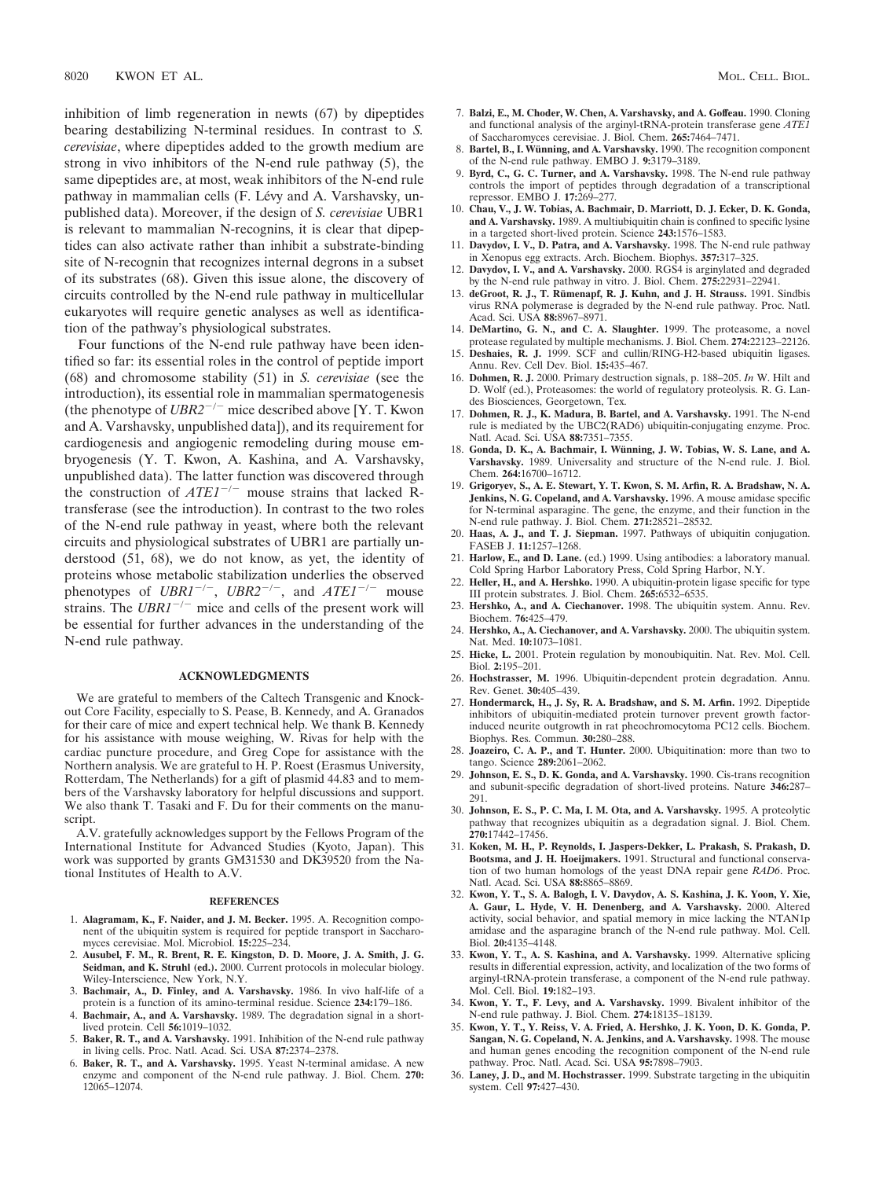inhibition of limb regeneration in newts (67) by dipeptides bearing destabilizing N-terminal residues. In contrast to *S. cerevisiae*, where dipeptides added to the growth medium are strong in vivo inhibitors of the N-end rule pathway (5), the same dipeptides are, at most, weak inhibitors of the N-end rule pathway in mammalian cells (F. Lévy and A. Varshavsky, unpublished data). Moreover, if the design of *S. cerevisiae* UBR1 is relevant to mammalian N-recognins, it is clear that dipeptides can also activate rather than inhibit a substrate-binding site of N-recognin that recognizes internal degrons in a subset of its substrates (68). Given this issue alone, the discovery of circuits controlled by the N-end rule pathway in multicellular eukaryotes will require genetic analyses as well as identification of the pathway's physiological substrates.

Four functions of the N-end rule pathway have been identified so far: its essential roles in the control of peptide import (68) and chromosome stability (51) in *S. cerevisiae* (see the introduction), its essential role in mammalian spermatogenesis (the phenotype of  $UBR2^{-/-}$  mice described above [Y. T. Kwon and A. Varshavsky, unpublished data]), and its requirement for cardiogenesis and angiogenic remodeling during mouse embryogenesis (Y. T. Kwon, A. Kashina, and A. Varshavsky, unpublished data). The latter function was discovered through the construction of  $ATEI^{-/-}$  mouse strains that lacked Rtransferase (see the introduction). In contrast to the two roles of the N-end rule pathway in yeast, where both the relevant circuits and physiological substrates of UBR1 are partially understood (51, 68), we do not know, as yet, the identity of proteins whose metabolic stabilization underlies the observed phenotypes of  $UBRI^{-/-}$ ,  $UBR2^{-/-}$ , and  $ATEI^{-/-}$  mouse strains. The  $UBRI^{-/-}$  mice and cells of the present work will be essential for further advances in the understanding of the N-end rule pathway.

### **ACKNOWLEDGMENTS**

We are grateful to members of the Caltech Transgenic and Knockout Core Facility, especially to S. Pease, B. Kennedy, and A. Granados for their care of mice and expert technical help. We thank B. Kennedy for his assistance with mouse weighing, W. Rivas for help with the cardiac puncture procedure, and Greg Cope for assistance with the Northern analysis. We are grateful to H. P. Roest (Erasmus University, Rotterdam, The Netherlands) for a gift of plasmid 44.83 and to members of the Varshavsky laboratory for helpful discussions and support. We also thank T. Tasaki and F. Du for their comments on the manuscript.

A.V. gratefully acknowledges support by the Fellows Program of the International Institute for Advanced Studies (Kyoto, Japan). This work was supported by grants GM31530 and DK39520 from the National Institutes of Health to A.V.

### **REFERENCES**

- 1. **Alagramam, K., F. Naider, and J. M. Becker.** 1995. A. Recognition component of the ubiquitin system is required for peptide transport in Saccharomyces cerevisiae. Mol. Microbiol. **15:**225–234.
- 2. **Ausubel, F. M., R. Brent, R. E. Kingston, D. D. Moore, J. A. Smith, J. G. Seidman, and K. Struhl (ed.).** 2000. Current protocols in molecular biology. Wiley-Interscience, New York, N.Y.
- 3. **Bachmair, A., D. Finley, and A. Varshavsky.** 1986. In vivo half-life of a protein is a function of its amino-terminal residue. Science **234:**179–186.
- 4. **Bachmair, A., and A. Varshavsky.** 1989. The degradation signal in a shortlived protein. Cell **56:**1019–1032.
- 5. **Baker, R. T., and A. Varshavsky.** 1991. Inhibition of the N-end rule pathway in living cells. Proc. Natl. Acad. Sci. USA **87:**2374–2378.
- 6. **Baker, R. T., and A. Varshavsky.** 1995. Yeast N-terminal amidase. A new enzyme and component of the N-end rule pathway. J. Biol. Chem. **270:** 12065–12074.
- 7. **Balzi, E., M. Choder, W. Chen, A. Varshavsky, and A. Goffeau.** 1990. Cloning and functional analysis of the arginyl-tRNA-protein transferase gene *ATE1* of Saccharomyces cerevisiae. J. Biol. Chem. **265:**7464–7471.
- 8. Bartel, B., I. Wünning, and A. Varshavsky. 1990. The recognition component of the N-end rule pathway. EMBO J. **9:**3179–3189.
- 9. **Byrd, C., G. C. Turner, and A. Varshavsky.** 1998. The N-end rule pathway controls the import of peptides through degradation of a transcriptional repressor. EMBO J. **17:**269–277.
- 10. **Chau, V., J. W. Tobias, A. Bachmair, D. Marriott, D. J. Ecker, D. K. Gonda, and A. Varshavsky.** 1989. A multiubiquitin chain is confined to specific lysine in a targeted short-lived protein. Science **243:**1576–1583.
- 11. **Davydov, I. V., D. Patra, and A. Varshavsky.** 1998. The N-end rule pathway in Xenopus egg extracts. Arch. Biochem. Biophys. **357:**317–325.
- 12. **Davydov, I. V., and A. Varshavsky.** 2000. RGS4 is arginylated and degraded by the N-end rule pathway in vitro. J. Biol. Chem. **275:**22931–22941.
- 13. deGroot, R. J., T. Rümenapf, R. J. Kuhn, and J. H. Strauss. 1991. Sindbis virus RNA polymerase is degraded by the N-end rule pathway. Proc. Natl. Acad. Sci. USA **88:**8967–8971.
- 14. **DeMartino, G. N., and C. A. Slaughter.** 1999. The proteasome, a novel protease regulated by multiple mechanisms. J. Biol. Chem. **274:**22123–22126.
- 15. **Deshaies, R. J.** 1999. SCF and cullin/RING-H2-based ubiquitin ligases. Annu. Rev. Cell Dev. Biol. **15:**435–467.
- 16. **Dohmen, R. J.** 2000. Primary destruction signals, p. 188–205. *In* W. Hilt and D. Wolf (ed.), Proteasomes: the world of regulatory proteolysis. R. G. Landes Biosciences, Georgetown, Tex.
- 17. **Dohmen, R. J., K. Madura, B. Bartel, and A. Varshavsky.** 1991. The N-end rule is mediated by the UBC2(RAD6) ubiquitin-conjugating enzyme. Proc. Natl. Acad. Sci. USA **88:**7351–7355.
- 18. Gonda, D. K., A. Bachmair, I. Wünning, J. W. Tobias, W. S. Lane, and A. **Varshavsky.** 1989. Universality and structure of the N-end rule. J. Biol. Chem. **264:**16700–16712.
- 19. **Grigoryev, S., A. E. Stewart, Y. T. Kwon, S. M. Arfin, R. A. Bradshaw, N. A. Jenkins, N. G. Copeland, and A. Varshavsky.** 1996. A mouse amidase specific for N-terminal asparagine. The gene, the enzyme, and their function in the N-end rule pathway. J. Biol. Chem. **271:**28521–28532.
- 20. **Haas, A. J., and T. J. Siepman.** 1997. Pathways of ubiquitin conjugation. FASEB J. **11:**1257–1268.
- 21. **Harlow, E., and D. Lane.** (ed.) 1999. Using antibodies: a laboratory manual. Cold Spring Harbor Laboratory Press, Cold Spring Harbor, N.Y.
- 22. **Heller, H., and A. Hershko.** 1990. A ubiquitin-protein ligase specific for type III protein substrates. J. Biol. Chem. **265:**6532–6535.
- 23. **Hershko, A., and A. Ciechanover.** 1998. The ubiquitin system. Annu. Rev. Biochem. **76:**425–479.
- 24. **Hershko, A., A. Ciechanover, and A. Varshavsky.** 2000. The ubiquitin system. Nat. Med. **10:**1073–1081.
- 25. **Hicke, L.** 2001. Protein regulation by monoubiquitin. Nat. Rev. Mol. Cell. Biol. **2:**195–201.
- 26. **Hochstrasser, M.** 1996. Ubiquitin-dependent protein degradation. Annu. Rev. Genet. **30:**405–439.
- 27. **Hondermarck, H., J. Sy, R. A. Bradshaw, and S. M. Arfin.** 1992. Dipeptide inhibitors of ubiquitin-mediated protein turnover prevent growth factorinduced neurite outgrowth in rat pheochromocytoma PC12 cells. Biochem. Biophys. Res. Commun. **30:**280–288.
- 28. **Joazeiro, C. A. P., and T. Hunter.** 2000. Ubiquitination: more than two to tango. Science **289:**2061–2062.
- 29. **Johnson, E. S., D. K. Gonda, and A. Varshavsky.** 1990. Cis-trans recognition and subunit-specific degradation of short-lived proteins. Nature **346:**287– 291.
- 30. **Johnson, E. S., P. C. Ma, I. M. Ota, and A. Varshavsky.** 1995. A proteolytic pathway that recognizes ubiquitin as a degradation signal. J. Biol. Chem. **270:**17442–17456.
- 31. **Koken, M. H., P. Reynolds, I. Jaspers-Dekker, L. Prakash, S. Prakash, D. Bootsma, and J. H. Hoeijmakers.** 1991. Structural and functional conservation of two human homologs of the yeast DNA repair gene *RAD6*. Proc. Natl. Acad. Sci. USA **88:**8865–8869.
- 32. **Kwon, Y. T., S. A. Balogh, I. V. Davydov, A. S. Kashina, J. K. Yoon, Y. Xie, A. Gaur, L. Hyde, V. H. Denenberg, and A. Varshavsky.** 2000. Altered activity, social behavior, and spatial memory in mice lacking the NTAN1p amidase and the asparagine branch of the N-end rule pathway. Mol. Cell. Biol. **20:**4135–4148.
- 33. **Kwon, Y. T., A. S. Kashina, and A. Varshavsky.** 1999. Alternative splicing results in differential expression, activity, and localization of the two forms of arginyl-tRNA-protein transferase, a component of the N-end rule pathway. Mol. Cell. Biol. **19:**182–193.
- 34. **Kwon, Y. T., F. Levy, and A. Varshavsky.** 1999. Bivalent inhibitor of the N-end rule pathway. J. Biol. Chem. **274:**18135–18139.
- 35. **Kwon, Y. T., Y. Reiss, V. A. Fried, A. Hershko, J. K. Yoon, D. K. Gonda, P. Sangan, N. G. Copeland, N. A. Jenkins, and A. Varshavsky.** 1998. The mouse and human genes encoding the recognition component of the N-end rule pathway. Proc. Natl. Acad. Sci. USA **95:**7898–7903.
- 36. **Laney, J. D., and M. Hochstrasser.** 1999. Substrate targeting in the ubiquitin system. Cell **97:**427–430.